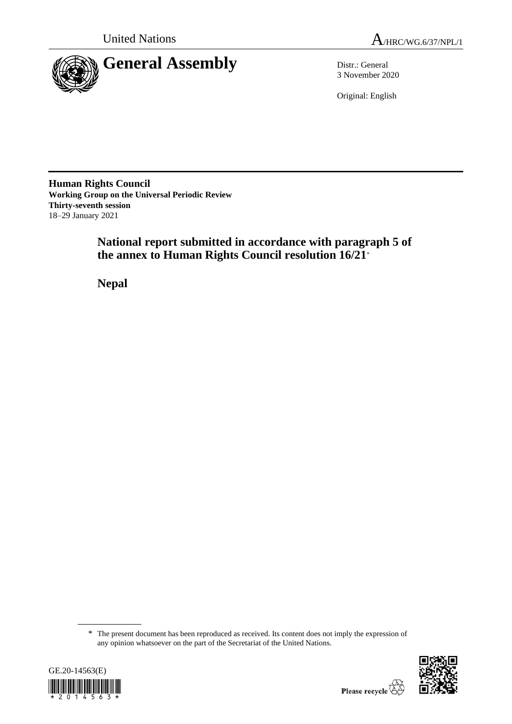

3 November 2020

Original: English

**Human Rights Council Working Group on the Universal Periodic Review Thirty-seventh session** 18–29 January 2021

> **National report submitted in accordance with paragraph 5 of the annex to Human Rights Council resolution 16/21**\*

**Nepal**

<sup>\*</sup> The present document has been reproduced as received. Its content does not imply the expression of any opinion whatsoever on the part of the Secretariat of the United Nations.



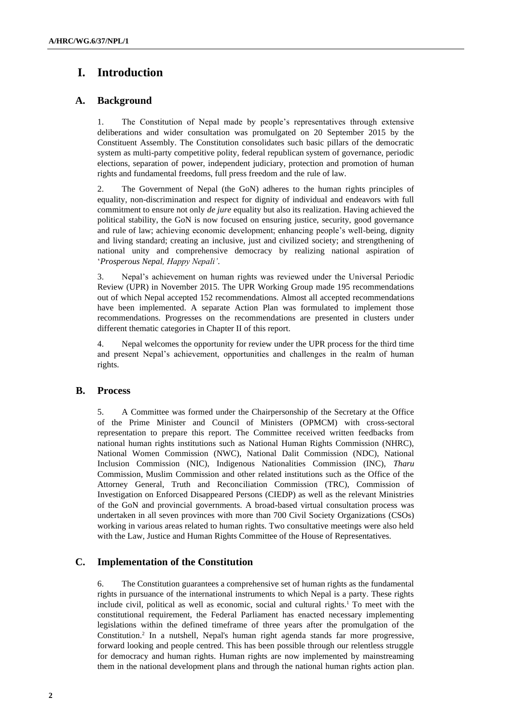# **I. Introduction**

# **A. Background**

1. The Constitution of Nepal made by people's representatives through extensive deliberations and wider consultation was promulgated on 20 September 2015 by the Constituent Assembly. The Constitution consolidates such basic pillars of the democratic system as multi-party competitive polity, federal republican system of governance, periodic elections, separation of power, independent judiciary, protection and promotion of human rights and fundamental freedoms, full press freedom and the rule of law.

2. The Government of Nepal (the GoN) adheres to the human rights principles of equality, non-discrimination and respect for dignity of individual and endeavors with full commitment to ensure not only *de jure* equality but also its realization. Having achieved the political stability, the GoN is now focused on ensuring justice, security, good governance and rule of law; achieving economic development; enhancing people's well-being, dignity and living standard; creating an inclusive, just and civilized society; and strengthening of national unity and comprehensive democracy by realizing national aspiration of '*Prosperous Nepal, Happy Nepali'*.

3. Nepal's achievement on human rights was reviewed under the Universal Periodic Review (UPR) in November 2015. The UPR Working Group made 195 recommendations out of which Nepal accepted 152 recommendations. Almost all accepted recommendations have been implemented. A separate Action Plan was formulated to implement those recommendations. Progresses on the recommendations are presented in clusters under different thematic categories in Chapter II of this report.

4. Nepal welcomes the opportunity for review under the UPR process for the third time and present Nepal's achievement, opportunities and challenges in the realm of human rights.

# **B. Process**

5. A Committee was formed under the Chairpersonship of the Secretary at the Office of the Prime Minister and Council of Ministers (OPMCM) with cross-sectoral representation to prepare this report. The Committee received written feedbacks from national human rights institutions such as National Human Rights Commission (NHRC), National Women Commission (NWC), National Dalit Commission (NDC), National Inclusion Commission (NIC), Indigenous Nationalities Commission (INC), *Tharu* Commission, Muslim Commission and other related institutions such as the Office of the Attorney General, Truth and Reconciliation Commission (TRC), Commission of Investigation on Enforced Disappeared Persons (CIEDP) as well as the relevant Ministries of the GoN and provincial governments. A broad-based virtual consultation process was undertaken in all seven provinces with more than 700 Civil Society Organizations (CSOs) working in various areas related to human rights. Two consultative meetings were also held with the Law, Justice and Human Rights Committee of the House of Representatives.

# **C. Implementation of the Constitution**

6. The Constitution guarantees a comprehensive set of human rights as the fundamental rights in pursuance of the international instruments to which Nepal is a party. These rights include civil, political as well as economic, social and cultural rights.<sup>1</sup> To meet with the constitutional requirement, the Federal Parliament has enacted necessary implementing legislations within the defined timeframe of three years after the promulgation of the Constitution. 2 In a nutshell, Nepal's human right agenda stands far more progressive, forward looking and people centred. This has been possible through our relentless struggle for democracy and human rights. Human rights are now implemented by mainstreaming them in the national development plans and through the national human rights action plan.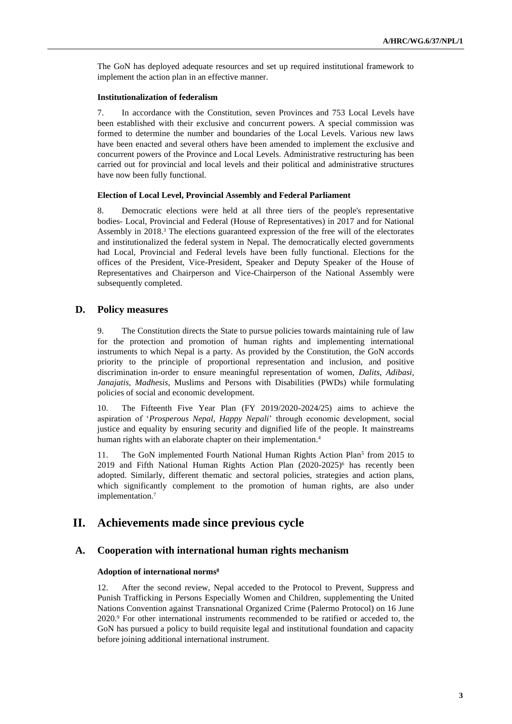The GoN has deployed adequate resources and set up required institutional framework to implement the action plan in an effective manner.

#### **Institutionalization of federalism**

7. In accordance with the Constitution, seven Provinces and 753 Local Levels have been established with their exclusive and concurrent powers. A special commission was formed to determine the number and boundaries of the Local Levels. Various new laws have been enacted and several others have been amended to implement the exclusive and concurrent powers of the Province and Local Levels. Administrative restructuring has been carried out for provincial and local levels and their political and administrative structures have now been fully functional.

#### **Election of Local Level, Provincial Assembly and Federal Parliament**

8. Democratic elections were held at all three tiers of the people's representative bodies- Local, Provincial and Federal (House of Representatives) in 2017 and for National Assembly in 2018.<sup>3</sup> The elections guaranteed expression of the free will of the electorates and institutionalized the federal system in Nepal. The democratically elected governments had Local, Provincial and Federal levels have been fully functional. Elections for the offices of the President, Vice-President, Speaker and Deputy Speaker of the House of Representatives and Chairperson and Vice-Chairperson of the National Assembly were subsequently completed.

# **D. Policy measures**

9. The Constitution directs the State to pursue policies towards maintaining rule of law for the protection and promotion of human rights and implementing international instruments to which Nepal is a party. As provided by the Constitution, the GoN accords priority to the principle of proportional representation and inclusion, and positive discrimination in-order to ensure meaningful representation of women, *Dalits, Adibasi, Janajatis, Madhesis*, Muslims and Persons with Disabilities (PWDs) while formulating policies of social and economic development.

10. The Fifteenth Five Year Plan (FY 2019/2020-2024/25) aims to achieve the aspiration of '*Prosperous Nepal, Happy Nepali*' through economic development, social justice and equality by ensuring security and dignified life of the people. It mainstreams human rights with an elaborate chapter on their implementation.<sup>4</sup>

11. The GoN implemented Fourth National Human Rights Action Plan<sup>5</sup> from 2015 to 2019 and Fifth National Human Rights Action Plan (2020-2025)<sup>6</sup> has recently been adopted. Similarly, different thematic and sectoral policies, strategies and action plans, which significantly complement to the promotion of human rights, are also under implementation.<sup>7</sup>

# **II. Achievements made since previous cycle**

# **A. Cooperation with international human rights mechanism**

# **Adoption of international norms<sup>8</sup>**

12. After the second review, Nepal acceded to the Protocol to Prevent, Suppress and Punish Trafficking in Persons Especially Women and Children, supplementing the United Nations Convention against Transnational Organized Crime (Palermo Protocol) on 16 June 2020.<sup>9</sup> For other international instruments recommended to be ratified or acceded to, the GoN has pursued a policy to build requisite legal and institutional foundation and capacity before joining additional international instrument.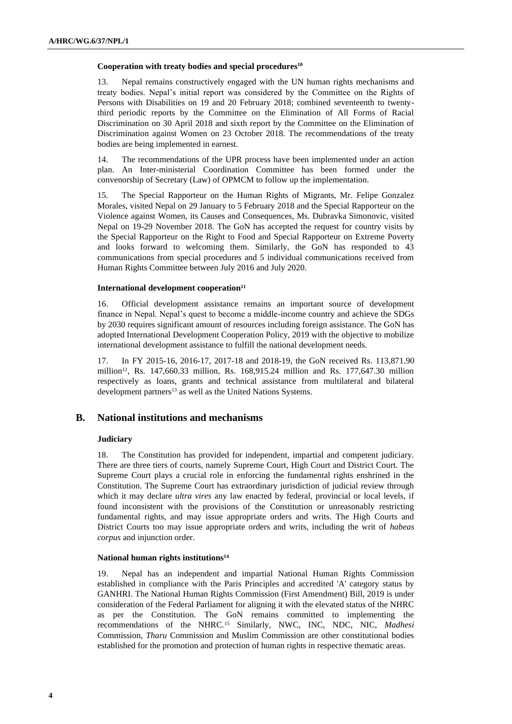#### **Cooperation with treaty bodies and special procedures<sup>10</sup>**

13. Nepal remains constructively engaged with the UN human rights mechanisms and treaty bodies. Nepal's initial report was considered by the Committee on the Rights of Persons with Disabilities on 19 and 20 February 2018; combined seventeenth to twentythird periodic reports by the Committee on the Elimination of All Forms of Racial Discrimination on 30 April 2018 and sixth report by the Committee on the Elimination of Discrimination against Women on 23 October 2018. The recommendations of the treaty bodies are being implemented in earnest.

14. The recommendations of the UPR process have been implemented under an action plan. An Inter-ministerial Coordination Committee has been formed under the convenorship of Secretary (Law) of OPMCM to follow up the implementation.

15. The Special Rapporteur on the Human Rights of Migrants, Mr. Felipe Gonzalez Morales, visited Nepal on 29 January to 5 February 2018 and the Special Rapporteur on the Violence against Women, its Causes and Consequences, Ms. Dubravka Simonovic, visited Nepal on 19-29 November 2018. The GoN has accepted the request for country visits by the Special Rapporteur on the Right to Food and Special Rapporteur on Extreme Poverty and looks forward to welcoming them. Similarly, the GoN has responded to 43 communications from special procedures and 5 individual communications received from Human Rights Committee between July 2016 and July 2020.

### **International development cooperation<sup>11</sup>**

16. Official development assistance remains an important source of development finance in Nepal. Nepal's quest to become a middle-income country and achieve the SDGs by 2030 requires significant amount of resources including foreign assistance. The GoN has adopted International Development Cooperation Policy, 2019 with the objective to mobilize international development assistance to fulfill the national development needs.

17. In FY 2015-16, 2016-17, 2017-18 and 2018-19, the GoN received Rs. 113,871.90 million12, Rs. 147,660.33 million, Rs. 168,915.24 million and Rs. 177,647.30 million respectively as loans, grants and technical assistance from multilateral and bilateral development partners<sup>13</sup> as well as the United Nations Systems.

# **B. National institutions and mechanisms**

### **Judiciary**

18. The Constitution has provided for independent, impartial and competent judiciary. There are three tiers of courts, namely Supreme Court, High Court and District Court. The Supreme Court plays a crucial role in enforcing the fundamental rights enshrined in the Constitution. The Supreme Court has extraordinary jurisdiction of judicial review through which it may declare *ultra vires* any law enacted by federal, provincial or local levels, if found inconsistent with the provisions of the Constitution or unreasonably restricting fundamental rights, and may issue appropriate orders and writs. The High Courts and District Courts too may issue appropriate orders and writs, including the writ of *habeas corpus* and injunction order.

### **National human rights institutions<sup>14</sup>**

19. Nepal has an independent and impartial National Human Rights Commission established in compliance with the Paris Principles and accredited 'A' category status by GANHRI. The National Human Rights Commission (First Amendment) Bill, 2019 is under consideration of the Federal Parliament for aligning it with the elevated status of the NHRC as per the Constitution. The GoN remains committed to implementing the recommendations of the NHRC.<sup>15</sup> Similarly, NWC, INC, NDC, NIC, *Madhesi* Commission, *Tharu* Commission and Muslim Commission are other constitutional bodies established for the promotion and protection of human rights in respective thematic areas.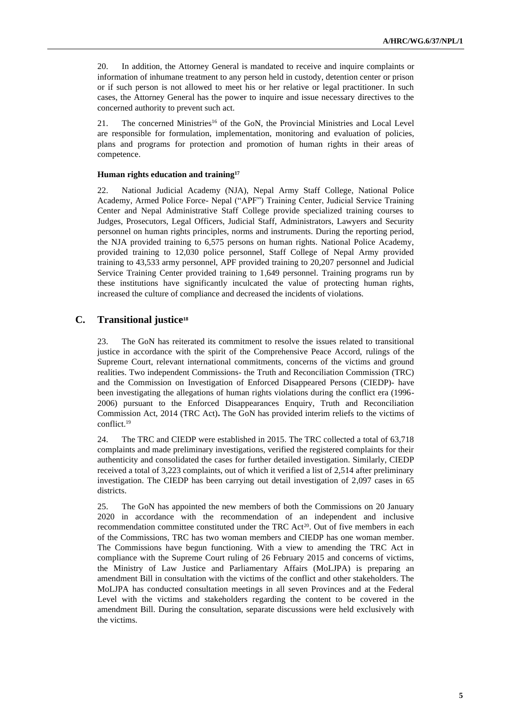20. In addition, the Attorney General is mandated to receive and inquire complaints or information of inhumane treatment to any person held in custody, detention center or prison or if such person is not allowed to meet his or her relative or legal practitioner. In such cases, the Attorney General has the power to inquire and issue necessary directives to the concerned authority to prevent such act.

21. The concerned Ministries<sup>16</sup> of the GoN, the Provincial Ministries and Local Level are responsible for formulation, implementation, monitoring and evaluation of policies, plans and programs for protection and promotion of human rights in their areas of competence.

#### **Human rights education and training<sup>17</sup>**

22. National Judicial Academy (NJA), Nepal Army Staff College, National Police Academy, Armed Police Force- Nepal ("APF") Training Center, Judicial Service Training Center and Nepal Administrative Staff College provide specialized training courses to Judges, Prosecutors, Legal Officers, Judicial Staff, Administrators, Lawyers and Security personnel on human rights principles, norms and instruments. During the reporting period, the NJA provided training to 6,575 persons on human rights. National Police Academy, provided training to 12,030 police personnel, Staff College of Nepal Army provided training to 43,533 army personnel, APF provided training to 20,207 personnel and Judicial Service Training Center provided training to 1,649 personnel. Training programs run by these institutions have significantly inculcated the value of protecting human rights, increased the culture of compliance and decreased the incidents of violations.

# **C. Transitional justice<sup>18</sup>**

23. The GoN has reiterated its commitment to resolve the issues related to transitional justice in accordance with the spirit of the Comprehensive Peace Accord, rulings of the Supreme Court, relevant international commitments, concerns of the victims and ground realities. Two independent Commissions- the Truth and Reconciliation Commission (TRC) and the Commission on Investigation of Enforced Disappeared Persons (CIEDP)- have been investigating the allegations of human rights violations during the conflict era (1996- 2006) pursuant to the Enforced Disappearances Enquiry, Truth and Reconciliation Commission Act, 2014 (TRC Act)**.** The GoN has provided interim reliefs to the victims of conflict.<sup>19</sup>

24. The TRC and CIEDP were established in 2015. The TRC collected a total of 63,718 complaints and made preliminary investigations, verified the registered complaints for their authenticity and consolidated the cases for further detailed investigation. Similarly, CIEDP received a total of 3,223 complaints, out of which it verified a list of 2,514 after preliminary investigation. The CIEDP has been carrying out detail investigation of 2,097 cases in 65 districts.

25. The GoN has appointed the new members of both the Commissions on 20 January 2020 in accordance with the recommendation of an independent and inclusive recommendation committee constituted under the TRC Act<sup>20</sup>. Out of five members in each of the Commissions, TRC has two woman members and CIEDP has one woman member. The Commissions have begun functioning. With a view to amending the TRC Act in compliance with the Supreme Court ruling of 26 February 2015 and concerns of victims, the Ministry of Law Justice and Parliamentary Affairs (MoLJPA) is preparing an amendment Bill in consultation with the victims of the conflict and other stakeholders. The MoLJPA has conducted consultation meetings in all seven Provinces and at the Federal Level with the victims and stakeholders regarding the content to be covered in the amendment Bill. During the consultation, separate discussions were held exclusively with the victims.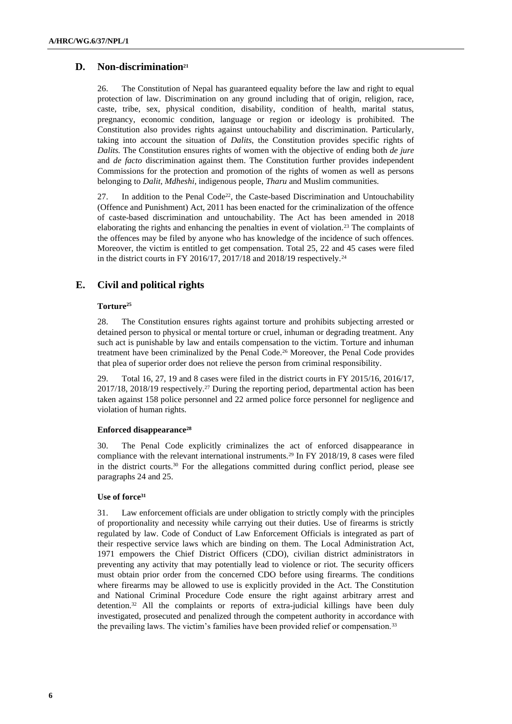# **D. Non-discrimination<sup>21</sup>**

26. The Constitution of Nepal has guaranteed equality before the law and right to equal protection of law. Discrimination on any ground including that of origin, religion, race, caste, tribe, sex, physical condition, disability, condition of health, marital status, pregnancy, economic condition, language or region or ideology is prohibited. The Constitution also provides rights against untouchability and discrimination. Particularly, taking into account the situation of *Dalits*, the Constitution provides specific rights of *Dalits.* The Constitution ensures rights of women with the objective of ending both *de jure* and *de facto* discrimination against them. The Constitution further provides independent Commissions for the protection and promotion of the rights of women as well as persons belonging to *Dalit, Mdheshi*, indigenous people, *Tharu* and Muslim communities.

27. In addition to the Penal Code<sup>22</sup>, the Caste-based Discrimination and Untouchability (Offence and Punishment) Act, 2011 has been enacted for the criminalization of the offence of caste-based discrimination and untouchability. The Act has been amended in 2018 elaborating the rights and enhancing the penalties in event of violation.<sup>23</sup> The complaints of the offences may be filed by anyone who has knowledge of the incidence of such offences. Moreover, the victim is entitled to get compensation. Total 25, 22 and 45 cases were filed in the district courts in FY 2016/17, 2017/18 and 2018/19 respectively.<sup>24</sup>

# **E. Civil and political rights**

### **Torture<sup>25</sup>**

28. The Constitution ensures rights against torture and prohibits subjecting arrested or detained person to physical or mental torture or cruel, inhuman or degrading treatment. Any such act is punishable by law and entails compensation to the victim. Torture and inhuman treatment have been criminalized by the Penal Code.<sup>26</sup> Moreover, the Penal Code provides that plea of superior order does not relieve the person from criminal responsibility.

29. Total 16, 27, 19 and 8 cases were filed in the district courts in FY 2015/16, 2016/17, 2017/18, 2018/19 respectively.<sup>27</sup> During the reporting period, departmental action has been taken against 158 police personnel and 22 armed police force personnel for negligence and violation of human rights.

#### **Enforced disappearance<sup>28</sup>**

30. The Penal Code explicitly criminalizes the act of enforced disappearance in compliance with the relevant international instruments.<sup>29</sup> In FY 2018/19, 8 cases were filed in the district courts.<sup>30</sup> For the allegations committed during conflict period, please see paragraphs 24 and 25.

#### **Use of force<sup>31</sup>**

31. Law enforcement officials are under obligation to strictly comply with the principles of proportionality and necessity while carrying out their duties. Use of firearms is strictly regulated by law. Code of Conduct of Law Enforcement Officials is integrated as part of their respective service laws which are binding on them. The Local Administration Act, 1971 empowers the Chief District Officers (CDO), civilian district administrators in preventing any activity that may potentially lead to violence or riot. The security officers must obtain prior order from the concerned CDO before using firearms. The conditions where firearms may be allowed to use is explicitly provided in the Act. The Constitution and National Criminal Procedure Code ensure the right against arbitrary arrest and detention.<sup>32</sup> All the complaints or reports of extra-judicial killings have been duly investigated, prosecuted and penalized through the competent authority in accordance with the prevailing laws. The victim's families have been provided relief or compensation.<sup>33</sup>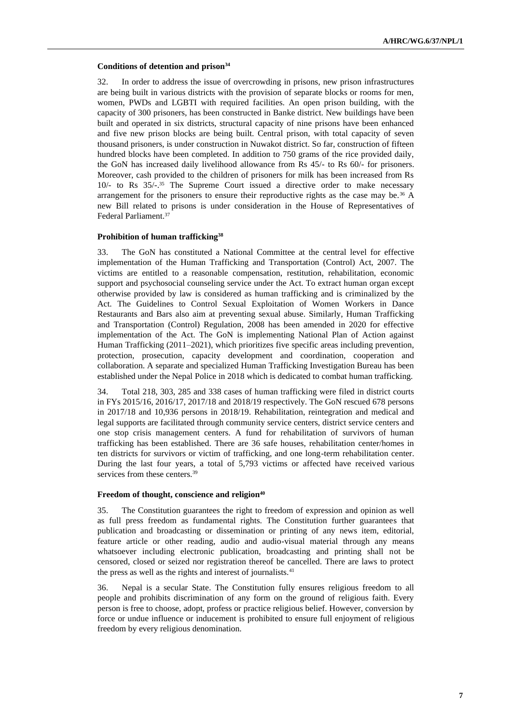#### **Conditions of detention and prison<sup>34</sup>**

32. In order to address the issue of overcrowding in prisons, new prison infrastructures are being built in various districts with the provision of separate blocks or rooms for men, women, PWDs and LGBTI with required facilities. An open prison building, with the capacity of 300 prisoners, has been constructed in Banke district. New buildings have been built and operated in six districts, structural capacity of nine prisons have been enhanced and five new prison blocks are being built. Central prison, with total capacity of seven thousand prisoners, is under construction in Nuwakot district. So far, construction of fifteen hundred blocks have been completed. In addition to 750 grams of the rice provided daily, the GoN has increased daily livelihood allowance from Rs 45/- to Rs 60/- for prisoners. Moreover, cash provided to the children of prisoners for milk has been increased from Rs 10/- to Rs 35/-. <sup>35</sup> The Supreme Court issued a directive order to make necessary arrangement for the prisoners to ensure their reproductive rights as the case may be.<sup>36</sup> A new Bill related to prisons is under consideration in the House of Representatives of Federal Parliament.<sup>37</sup>

#### **Prohibition of human trafficking<sup>38</sup>**

33. The GoN has constituted a National Committee at the central level for effective implementation of the Human Trafficking and Transportation (Control) Act, 2007. The victims are entitled to a reasonable compensation, restitution, rehabilitation, economic support and psychosocial counseling service under the Act. To extract human organ except otherwise provided by law is considered as human trafficking and is criminalized by the Act. The Guidelines to Control Sexual Exploitation of Women Workers in Dance Restaurants and Bars also aim at preventing sexual abuse. Similarly, Human Trafficking and Transportation (Control) Regulation, 2008 has been amended in 2020 for effective implementation of the Act. The GoN is implementing National Plan of Action against Human Trafficking (2011–2021), which prioritizes five specific areas including prevention, protection, prosecution, capacity development and coordination, cooperation and collaboration. A separate and specialized Human Trafficking Investigation Bureau has been established under the Nepal Police in 2018 which is dedicated to combat human trafficking.

34. Total 218, 303, 285 and 338 cases of human trafficking were filed in district courts in FYs 2015/16, 2016/17, 2017/18 and 2018/19 respectively. The GoN rescued 678 persons in 2017/18 and 10,936 persons in 2018/19. Rehabilitation, reintegration and medical and legal supports are facilitated through community service centers, district service centers and one stop crisis management centers. A fund for rehabilitation of survivors of human trafficking has been established. There are 36 safe houses, rehabilitation center/homes in ten districts for survivors or victim of trafficking, and one long-term rehabilitation center. During the last four years, a total of 5,793 victims or affected have received various services from these centers.<sup>39</sup>

#### **Freedom of thought, conscience and religion<sup>40</sup>**

35. The Constitution guarantees the right to freedom of expression and opinion as well as full press freedom as fundamental rights. The Constitution further guarantees that publication and broadcasting or dissemination or printing of any news item, editorial, feature article or other reading, audio and audio-visual material through any means whatsoever including electronic publication, broadcasting and printing shall not be censored, closed or seized nor registration thereof be cancelled. There are laws to protect the press as well as the rights and interest of journalists.<sup>41</sup>

36. Nepal is a secular State. The Constitution fully ensures religious freedom to all people and prohibits discrimination of any form on the ground of religious faith. Every person is free to choose, adopt, profess or practice religious belief. However, conversion by force or undue influence or inducement is prohibited to ensure full enjoyment of religious freedom by every religious denomination.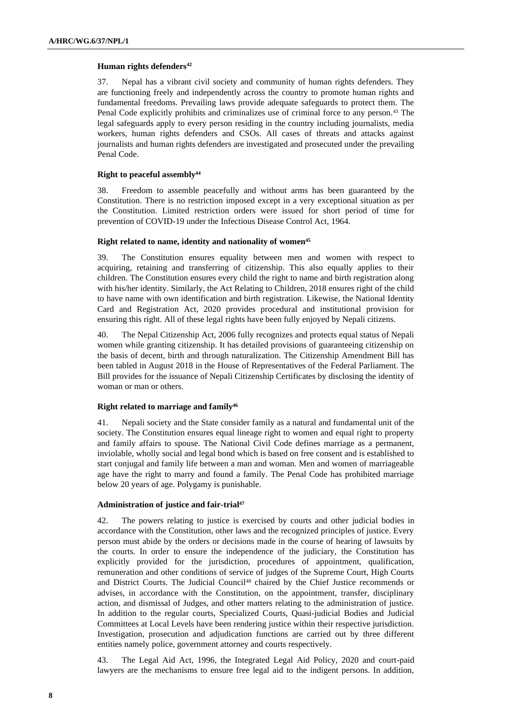#### **Human rights defenders<sup>42</sup>**

37. Nepal has a vibrant civil society and community of human rights defenders. They are functioning freely and independently across the country to promote human rights and fundamental freedoms. Prevailing laws provide adequate safeguards to protect them. The Penal Code explicitly prohibits and criminalizes use of criminal force to any person.<sup>43</sup> The legal safeguards apply to every person residing in the country including journalists, media workers, human rights defenders and CSOs. All cases of threats and attacks against journalists and human rights defenders are investigated and prosecuted under the prevailing Penal Code.

#### **Right to peaceful assembly<sup>44</sup>**

38. Freedom to assemble peacefully and without arms has been guaranteed by the Constitution. There is no restriction imposed except in a very exceptional situation as per the Constitution. Limited restriction orders were issued for short period of time for prevention of COVID-19 under the Infectious Disease Control Act, 1964.

#### **Right related to name, identity and nationality of women<sup>45</sup>**

39. The Constitution ensures equality between men and women with respect to acquiring, retaining and transferring of citizenship. This also equally applies to their children. The Constitution ensures every child the right to name and birth registration along with his/her identity. Similarly, the Act Relating to Children, 2018 ensures right of the child to have name with own identification and birth registration. Likewise, the National Identity Card and Registration Act, 2020 provides procedural and institutional provision for ensuring this right. All of these legal rights have been fully enjoyed by Nepali citizens.

40. The Nepal Citizenship Act, 2006 fully recognizes and protects equal status of Nepali women while granting citizenship. It has detailed provisions of guaranteeing citizenship on the basis of decent, birth and through naturalization. The Citizenship Amendment Bill has been tabled in August 2018 in the House of Representatives of the Federal Parliament. The Bill provides for the issuance of Nepali Citizenship Certificates by disclosing the identity of woman or man or others.

#### **Right related to marriage and family<sup>46</sup>**

41. Nepali society and the State consider family as a natural and fundamental unit of the society. The Constitution ensures equal lineage right to women and equal right to property and family affairs to spouse. The National Civil Code defines marriage as a permanent, inviolable, wholly social and legal bond which is based on free consent and is established to start conjugal and family life between a man and woman. Men and women of marriageable age have the right to marry and found a family. The Penal Code has prohibited marriage below 20 years of age. Polygamy is punishable.

#### **Administration of justice and fair-trial<sup>47</sup>**

42. The powers relating to justice is exercised by courts and other judicial bodies in accordance with the Constitution, other laws and the recognized principles of justice. Every person must abide by the orders or decisions made in the course of hearing of lawsuits by the courts. In order to ensure the independence of the judiciary, the Constitution has explicitly provided for the jurisdiction, procedures of appointment, qualification, remuneration and other conditions of service of judges of the Supreme Court, High Courts and District Courts. The Judicial Council<sup>48</sup> chaired by the Chief Justice recommends or advises, in accordance with the Constitution, on the appointment, transfer, disciplinary action, and dismissal of Judges, and other matters relating to the administration of justice. In addition to the regular courts, Specialized Courts, Quasi-judicial Bodies and Judicial Committees at Local Levels have been rendering justice within their respective jurisdiction. Investigation, prosecution and adjudication functions are carried out by three different entities namely police, government attorney and courts respectively.

43. The Legal Aid Act, 1996, the Integrated Legal Aid Policy, 2020 and court-paid lawyers are the mechanisms to ensure free legal aid to the indigent persons. In addition,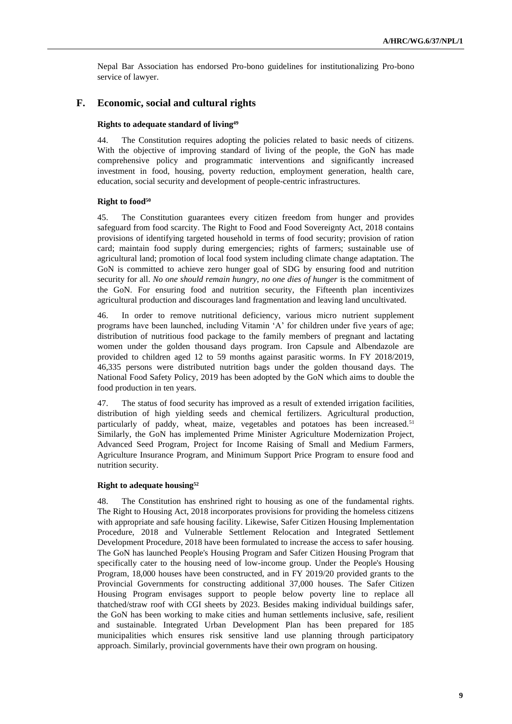Nepal Bar Association has endorsed Pro-bono guidelines for institutionalizing Pro-bono service of lawyer.

# **F. Economic, social and cultural rights**

#### **Rights to adequate standard of living<sup>49</sup>**

44. The Constitution requires adopting the policies related to basic needs of citizens. With the objective of improving standard of living of the people, the GoN has made comprehensive policy and programmatic interventions and significantly increased investment in food, housing, poverty reduction, employment generation, health care, education, social security and development of people-centric infrastructures.

#### **Right to food<sup>50</sup>**

45. The Constitution guarantees every citizen freedom from hunger and provides safeguard from food scarcity. The Right to Food and Food Sovereignty Act, 2018 contains provisions of identifying targeted household in terms of food security; provision of ration card; maintain food supply during emergencies; rights of farmers; sustainable use of agricultural land; promotion of local food system including climate change adaptation. The GoN is committed to achieve zero hunger goal of SDG by ensuring food and nutrition security for all. *No one should remain hungry, no one dies of hunger* is the commitment of the GoN. For ensuring food and nutrition security, the Fifteenth plan incentivizes agricultural production and discourages land fragmentation and leaving land uncultivated.

46. In order to remove nutritional deficiency, various micro nutrient supplement programs have been launched, including Vitamin 'A' for children under five years of age; distribution of nutritious food package to the family members of pregnant and lactating women under the golden thousand days program. Iron Capsule and Albendazole are provided to children aged 12 to 59 months against parasitic worms. In FY 2018/2019, 46,335 persons were distributed nutrition bags under the golden thousand days. The National Food Safety Policy, 2019 has been adopted by the GoN which aims to double the food production in ten years.

47. The status of food security has improved as a result of extended irrigation facilities, distribution of high yielding seeds and chemical fertilizers. Agricultural production, particularly of paddy, wheat, maize, vegetables and potatoes has been increased.<sup>51</sup> Similarly, the GoN has implemented Prime Minister Agriculture Modernization Project, Advanced Seed Program, Project for Income Raising of Small and Medium Farmers, Agriculture Insurance Program, and Minimum Support Price Program to ensure food and nutrition security.

#### **Right to adequate housing<sup>52</sup>**

48. The Constitution has enshrined right to housing as one of the fundamental rights. The Right to Housing Act, 2018 incorporates provisions for providing the homeless citizens with appropriate and safe housing facility. Likewise, Safer Citizen Housing Implementation Procedure, 2018 and Vulnerable Settlement Relocation and Integrated Settlement Development Procedure, 2018 have been formulated to increase the access to safer housing. The GoN has launched People's Housing Program and Safer Citizen Housing Program that specifically cater to the housing need of low-income group. Under the People's Housing Program, 18,000 houses have been constructed, and in FY 2019/20 provided grants to the Provincial Governments for constructing additional 37,000 houses. The Safer Citizen Housing Program envisages support to people below poverty line to replace all thatched/straw roof with CGI sheets by 2023. Besides making individual buildings safer, the GoN has been working to make cities and human settlements inclusive, safe, resilient and sustainable. Integrated Urban Development Plan has been prepared for 185 municipalities which ensures risk sensitive land use planning through participatory approach. Similarly, provincial governments have their own program on housing.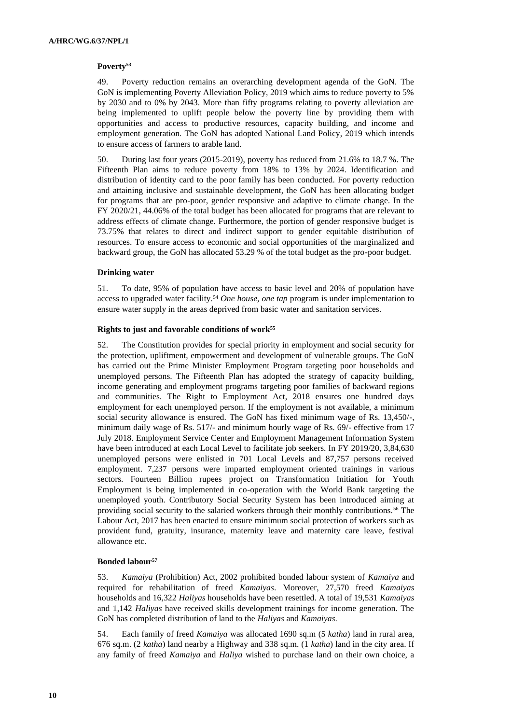#### **Poverty<sup>53</sup>**

49. Poverty reduction remains an overarching development agenda of the GoN. The GoN is implementing Poverty Alleviation Policy, 2019 which aims to reduce poverty to 5% by 2030 and to 0% by 2043. More than fifty programs relating to poverty alleviation are being implemented to uplift people below the poverty line by providing them with opportunities and access to productive resources, capacity building, and income and employment generation. The GoN has adopted National Land Policy, 2019 which intends to ensure access of farmers to arable land.

50. During last four years (2015-2019), poverty has reduced from 21.6% to 18.7 %. The Fifteenth Plan aims to reduce poverty from 18% to 13% by 2024. Identification and distribution of identity card to the poor family has been conducted. For poverty reduction and attaining inclusive and sustainable development, the GoN has been allocating budget for programs that are pro-poor, gender responsive and adaptive to climate change. In the FY 2020/21, 44.06% of the total budget has been allocated for programs that are relevant to address effects of climate change. Furthermore, the portion of gender responsive budget is 73.75% that relates to direct and indirect support to gender equitable distribution of resources. To ensure access to economic and social opportunities of the marginalized and backward group, the GoN has allocated 53.29 % of the total budget as the pro-poor budget.

#### **Drinking water**

51. To date, 95% of population have access to basic level and 20% of population have access to upgraded water facility.<sup>54</sup> One house, one tap program is under implementation to ensure water supply in the areas deprived from basic water and sanitation services.

#### **Rights to just and favorable conditions of work<sup>55</sup>**

52. The Constitution provides for special priority in employment and social security for the protection, upliftment, empowerment and development of vulnerable groups. The GoN has carried out the Prime Minister Employment Program targeting poor households and unemployed persons. The Fifteenth Plan has adopted the strategy of capacity building, income generating and employment programs targeting poor families of backward regions and communities. The Right to Employment Act, 2018 ensures one hundred days employment for each unemployed person. If the employment is not available, a minimum social security allowance is ensured. The GoN has fixed minimum wage of Rs. 13,450/-, minimum daily wage of Rs. 517/- and minimum hourly wage of Rs. 69/- effective from 17 July 2018. Employment Service Center and Employment Management Information System have been introduced at each Local Level to facilitate job seekers. In FY 2019/20, 3,84,630 unemployed persons were enlisted in 701 Local Levels and 87,757 persons received employment. 7,237 persons were imparted employment oriented trainings in various sectors. Fourteen Billion rupees project on Transformation Initiation for Youth Employment is being implemented in co-operation with the World Bank targeting the unemployed youth. Contributory Social Security System has been introduced aiming at providing social security to the salaried workers through their monthly contributions.<sup>56</sup> The Labour Act, 2017 has been enacted to ensure minimum social protection of workers such as provident fund, gratuity, insurance, maternity leave and maternity care leave, festival allowance etc.

#### **Bonded labour<sup>57</sup>**

53. *Kamaiya* (Prohibition) Act, 2002 prohibited bonded labour system of *Kamaiya* and required for rehabilitation of freed *Kamaiyas*. Moreover, 27,570 freed *Kamaiyas* households and 16,322 *Haliyas* households have been resettled. A total of 19,531 *Kamaiyas* and 1,142 *Haliyas* have received skills development trainings for income generation. The GoN has completed distribution of land to the *Haliyas* and *Kamaiyas*.

54. Each family of freed *Kamaiya* was allocated 1690 sq.m (5 *katha*) land in rural area, 676 sq.m. (2 *katha*) land nearby a Highway and 338 sq.m. (1 *katha*) land in the city area. If any family of freed *Kamaiya* and *Haliya* wished to purchase land on their own choice, a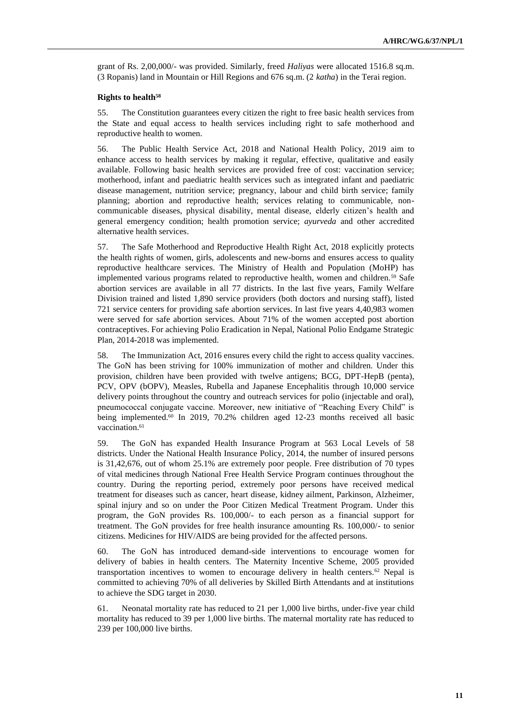grant of Rs. 2,00,000/- was provided. Similarly, freed *Haliyas* were allocated 1516.8 sq.m. (3 Ropanis) land in Mountain or Hill Regions and 676 sq.m. (2 *katha*) in the Terai region.

#### **Rights to health<sup>58</sup>**

55. The Constitution guarantees every citizen the right to free basic health services from the State and equal access to health services including right to safe motherhood and reproductive health to women.

56. The Public Health Service Act, 2018 and National Health Policy, 2019 aim to enhance access to health services by making it regular, effective, qualitative and easily available. Following basic health services are provided free of cost: vaccination service; motherhood, infant and paediatric health services such as integrated infant and paediatric disease management, nutrition service; pregnancy, labour and child birth service; family planning; abortion and reproductive health; services relating to communicable, noncommunicable diseases, physical disability, mental disease, elderly citizen's health and general emergency condition; health promotion service; *ayurveda* and other accredited alternative health services.

57. The Safe Motherhood and Reproductive Health Right Act, 2018 explicitly protects the health rights of women, girls, adolescents and new-borns and ensures access to quality reproductive healthcare services. The Ministry of Health and Population (MoHP) has implemented various programs related to reproductive health, women and children.<sup>59</sup> Safe abortion services are available in all 77 districts. In the last five years, Family Welfare Division trained and listed 1,890 service providers (both doctors and nursing staff), listed 721 service centers for providing safe abortion services. In last five years 4,40,983 women were served for safe abortion services. About 71% of the women accepted post abortion contraceptives. For achieving Polio Eradication in Nepal, National Polio Endgame Strategic Plan, 2014-2018 was implemented.

58. The Immunization Act, 2016 ensures every child the right to access quality vaccines. The GoN has been striving for 100% immunization of mother and children. Under this provision, children have been provided with twelve antigens; BCG, DPT-HepB (penta), PCV, OPV (bOPV), Measles, Rubella and Japanese Encephalitis through 10,000 service delivery points throughout the country and outreach services for polio (injectable and oral), pneumococcal conjugate vaccine. Moreover, new initiative of "Reaching Every Child" is being implemented.<sup>60</sup> In 2019, 70.2% children aged 12-23 months received all basic vaccination.<sup>61</sup>

59. The GoN has expanded Health Insurance Program at 563 Local Levels of 58 districts. Under the National Health Insurance Policy, 2014, the number of insured persons is 31,42,676, out of whom 25.1% are extremely poor people. Free distribution of 70 types of vital medicines through National Free Health Service Program continues throughout the country. During the reporting period, extremely poor persons have received medical treatment for diseases such as cancer, heart disease, kidney ailment, Parkinson, Alzheimer, spinal injury and so on under the Poor Citizen Medical Treatment Program. Under this program, the GoN provides Rs. 100,000/- to each person as a financial support for treatment. The GoN provides for free health insurance amounting Rs. 100,000/- to senior citizens. Medicines for HIV/AIDS are being provided for the affected persons.

60. The GoN has introduced demand-side interventions to encourage women for delivery of babies in health centers. The Maternity Incentive Scheme, 2005 provided transportation incentives to women to encourage delivery in health centers.<sup>62</sup> Nepal is committed to achieving 70% of all deliveries by Skilled Birth Attendants and at institutions to achieve the SDG target in 2030.

61. Neonatal mortality rate has reduced to 21 per 1,000 live births, under-five year child mortality has reduced to 39 per 1,000 live births. The maternal mortality rate has reduced to 239 per 100,000 live births.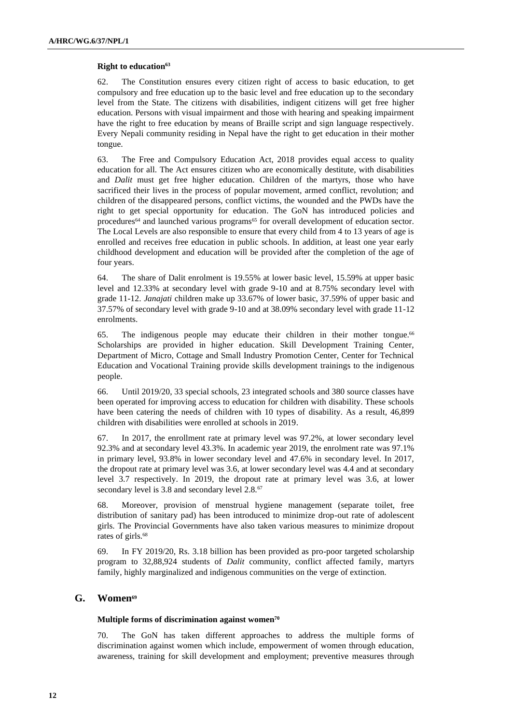#### **Right to education<sup>63</sup>**

62. The Constitution ensures every citizen right of access to basic education, to get compulsory and free education up to the basic level and free education up to the secondary level from the State. The citizens with disabilities, indigent citizens will get free higher education. Persons with visual impairment and those with hearing and speaking impairment have the right to free education by means of Braille script and sign language respectively. Every Nepali community residing in Nepal have the right to get education in their mother tongue.

63. The Free and Compulsory Education Act, 2018 provides equal access to quality education for all. The Act ensures citizen who are economically destitute, with disabilities and *Dalit* must get free higher education. Children of the martyrs, those who have sacrificed their lives in the process of popular movement, armed conflict, revolution; and children of the disappeared persons, conflict victims, the wounded and the PWDs have the right to get special opportunity for education. The GoN has introduced policies and procedures<sup>64</sup> and launched various programs<sup>65</sup> for overall development of education sector. The Local Levels are also responsible to ensure that every child from 4 to 13 years of age is enrolled and receives free education in public schools. In addition, at least one year early childhood development and education will be provided after the completion of the age of four years.

64. The share of Dalit enrolment is 19.55% at lower basic level, 15.59% at upper basic level and 12.33% at secondary level with grade 9-10 and at 8.75% secondary level with grade 11-12. *Janajati* children make up 33.67% of lower basic, 37.59% of upper basic and 37.57% of secondary level with grade 9-10 and at 38.09% secondary level with grade 11-12 enrolments.

65. The indigenous people may educate their children in their mother tongue.<sup>66</sup> Scholarships are provided in higher education. Skill Development Training Center, Department of Micro, Cottage and Small Industry Promotion Center, Center for Technical Education and Vocational Training provide skills development trainings to the indigenous people.

66. Until 2019/20, 33 special schools, 23 integrated schools and 380 source classes have been operated for improving access to education for children with disability. These schools have been catering the needs of children with 10 types of disability. As a result, 46,899 children with disabilities were enrolled at schools in 2019.

67. In 2017, the enrollment rate at primary level was 97.2%, at lower secondary level 92.3% and at secondary level 43.3%. In academic year 2019, the enrolment rate was 97.1% in primary level, 93.8% in lower secondary level and 47.6% in secondary level. In 2017, the dropout rate at primary level was 3.6, at lower secondary level was 4.4 and at secondary level 3.7 respectively. In 2019, the dropout rate at primary level was 3.6, at lower secondary level is 3.8 and secondary level 2.8.<sup>67</sup>

68. Moreover, provision of menstrual hygiene management (separate toilet, free distribution of sanitary pad) has been introduced to minimize drop-out rate of adolescent girls. The Provincial Governments have also taken various measures to minimize dropout rates of girls.<sup>68</sup>

69. In FY 2019/20, Rs. 3.18 billion has been provided as pro-poor targeted scholarship program to 32,88,924 students of *Dalit* community, conflict affected family, martyrs family, highly marginalized and indigenous communities on the verge of extinction.

# **G. Women<sup>69</sup>**

#### **Multiple forms of discrimination against women<sup>70</sup>**

70. The GoN has taken different approaches to address the multiple forms of discrimination against women which include, empowerment of women through education, awareness, training for skill development and employment; preventive measures through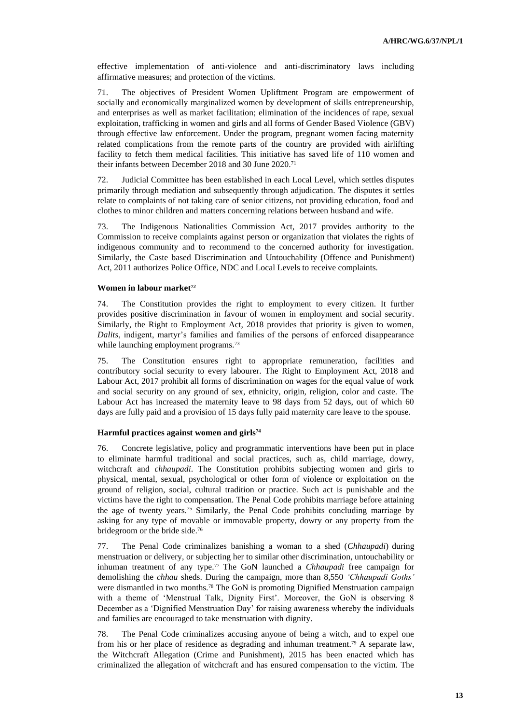effective implementation of anti-violence and anti-discriminatory laws including affirmative measures; and protection of the victims.

71. The objectives of President Women Upliftment Program are empowerment of socially and economically marginalized women by development of skills entrepreneurship, and enterprises as well as market facilitation; elimination of the incidences of rape, sexual exploitation, trafficking in women and girls and all forms of Gender Based Violence (GBV) through effective law enforcement. Under the program, pregnant women facing maternity related complications from the remote parts of the country are provided with airlifting facility to fetch them medical facilities. This initiative has saved life of 110 women and their infants between December 2018 and 30 June 2020.<sup>71</sup>

72. Judicial Committee has been established in each Local Level, which settles disputes primarily through mediation and subsequently through adjudication. The disputes it settles relate to complaints of not taking care of senior citizens, not providing education, food and clothes to minor children and matters concerning relations between husband and wife.

73. The Indigenous Nationalities Commission Act, 2017 provides authority to the Commission to receive complaints against person or organization that violates the rights of indigenous community and to recommend to the concerned authority for investigation. Similarly, the Caste based Discrimination and Untouchability (Offence and Punishment) Act, 2011 authorizes Police Office, NDC and Local Levels to receive complaints.

#### **Women in labour market<sup>72</sup>**

74. The Constitution provides the right to employment to every citizen. It further provides positive discrimination in favour of women in employment and social security. Similarly, the Right to Employment Act, 2018 provides that priority is given to women, *Dalits*, indigent, martyr's families and families of the persons of enforced disappearance while launching employment programs.<sup>73</sup>

75. The Constitution ensures right to appropriate remuneration, facilities and contributory social security to every labourer. The Right to Employment Act, 2018 and Labour Act, 2017 prohibit all forms of discrimination on wages for the equal value of work and social security on any ground of sex, ethnicity, origin, religion, color and caste. The Labour Act has increased the maternity leave to 98 days from 52 days, out of which 60 days are fully paid and a provision of 15 days fully paid maternity care leave to the spouse.

### **Harmful practices against women and girls<sup>74</sup>**

76. Concrete legislative, policy and programmatic interventions have been put in place to eliminate harmful traditional and social practices, such as, child marriage, dowry, witchcraft and *chhaupadi*. The Constitution prohibits subjecting women and girls to physical, mental, sexual, psychological or other form of violence or exploitation on the ground of religion, social, cultural tradition or practice. Such act is punishable and the victims have the right to compensation. The Penal Code prohibits marriage before attaining the age of twenty years.<sup>75</sup> Similarly, the Penal Code prohibits concluding marriage by asking for any type of movable or immovable property, dowry or any property from the bridegroom or the bride side.<sup>76</sup>

77. The Penal Code criminalizes banishing a woman to a shed (*Chhaupadi*) during menstruation or delivery, or subjecting her to similar other discrimination, untouchability or inhuman treatment of any type.<sup>77</sup> The GoN launched a *Chhaupadi* free campaign for demolishing the *chhau* sheds. During the campaign, more than 8,550 *'Chhaupadi Goths'* were dismantled in two months.<sup>78</sup> The GoN is promoting Dignified Menstruation campaign with a theme of 'Menstrual Talk, Dignity First'. Moreover, the GoN is observing 8 December as a 'Dignified Menstruation Day' for raising awareness whereby the individuals and families are encouraged to take menstruation with dignity.

78. The Penal Code criminalizes accusing anyone of being a witch, and to expel one from his or her place of residence as degrading and inhuman treatment.<sup>79</sup> A separate law, the Witchcraft Allegation (Crime and Punishment), 2015 has been enacted which has criminalized the allegation of witchcraft and has ensured compensation to the victim. The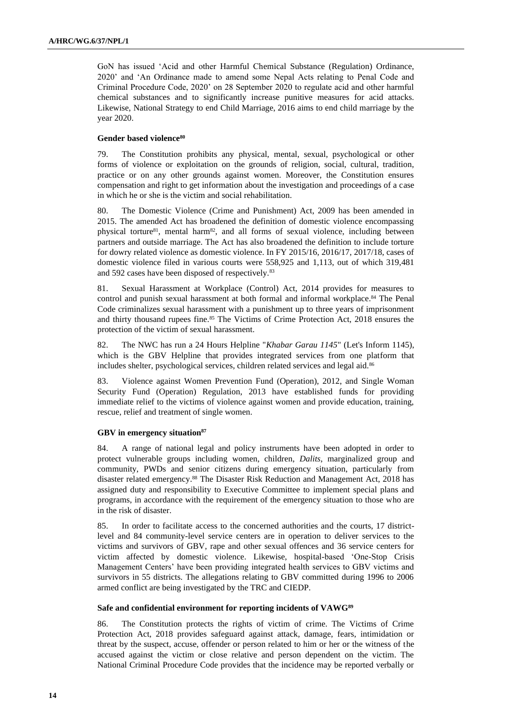GoN has issued 'Acid and other Harmful Chemical Substance (Regulation) Ordinance, 2020' and 'An Ordinance made to amend some Nepal Acts relating to Penal Code and Criminal Procedure Code, 2020' on 28 September 2020 to regulate acid and other harmful chemical substances and to significantly increase punitive measures for acid attacks. Likewise, National Strategy to end Child Marriage, 2016 aims to end child marriage by the year 2020.

#### **Gender based violence<sup>80</sup>**

79. The Constitution prohibits any physical, mental, sexual, psychological or other forms of violence or exploitation on the grounds of religion, social, cultural, tradition, practice or on any other grounds against women. Moreover, the Constitution ensures compensation and right to get information about the investigation and proceedings of a case in which he or she is the victim and social rehabilitation.

80. The Domestic Violence (Crime and Punishment) Act, 2009 has been amended in 2015. The amended Act has broadened the definition of domestic violence encompassing physical torture<sup>81</sup>, mental harm<sup>82</sup>, and all forms of sexual violence, including between partners and outside marriage. The Act has also broadened the definition to include torture for dowry related violence as domestic violence. In FY 2015/16, 2016/17, 2017/18, cases of domestic violence filed in various courts were 558,925 and 1,113, out of which 319,481 and 592 cases have been disposed of respectively.<sup>83</sup>

81. Sexual Harassment at Workplace (Control) Act, 2014 provides for measures to control and punish sexual harassment at both formal and informal workplace.<sup>84</sup> The Penal Code criminalizes sexual harassment with a punishment up to three years of imprisonment and thirty thousand rupees fine.<sup>85</sup> The Victims of Crime Protection Act, 2018 ensures the protection of the victim of sexual harassment.

82. The NWC has run a 24 Hours Helpline "*Khabar Garau 1145*" (Let's Inform 1145), which is the GBV Helpline that provides integrated services from one platform that includes shelter, psychological services, children related services and legal aid.<sup>86</sup>

83. Violence against Women Prevention Fund (Operation), 2012, and Single Woman Security Fund (Operation) Regulation, 2013 have established funds for providing immediate relief to the victims of violence against women and provide education, training, rescue, relief and treatment of single women.

#### **GBV in emergency situation<sup>87</sup>**

84. A range of national legal and policy instruments have been adopted in order to protect vulnerable groups including women, children, *Dalits*, marginalized group and community, PWDs and senior citizens during emergency situation, particularly from disaster related emergency.<sup>88</sup> The Disaster Risk Reduction and Management Act, 2018 has assigned duty and responsibility to Executive Committee to implement special plans and programs, in accordance with the requirement of the emergency situation to those who are in the risk of disaster.

85. In order to facilitate access to the concerned authorities and the courts, 17 districtlevel and 84 community-level service centers are in operation to deliver services to the victims and survivors of GBV, rape and other sexual offences and 36 service centers for victim affected by domestic violence. Likewise, hospital-based 'One-Stop Crisis Management Centers' have been providing integrated health services to GBV victims and survivors in 55 districts. The allegations relating to GBV committed during 1996 to 2006 armed conflict are being investigated by the TRC and CIEDP.

### **Safe and confidential environment for reporting incidents of VAWG<sup>89</sup>**

86. The Constitution protects the rights of victim of crime. The Victims of Crime Protection Act, 2018 provides safeguard against attack, damage, fears, intimidation or threat by the suspect, accuse, offender or person related to him or her or the witness of the accused against the victim or close relative and person dependent on the victim. The National Criminal Procedure Code provides that the incidence may be reported verbally or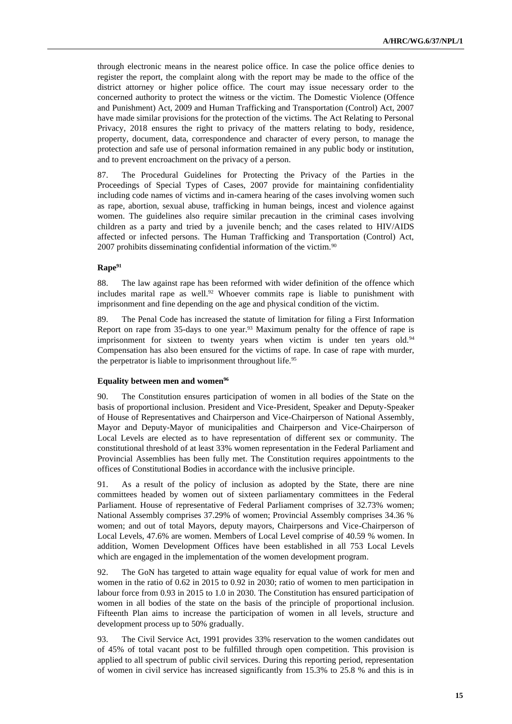through electronic means in the nearest police office. In case the police office denies to register the report, the complaint along with the report may be made to the office of the district attorney or higher police office. The court may issue necessary order to the concerned authority to protect the witness or the victim. The Domestic Violence (Offence and Punishment) Act, 2009 and Human Trafficking and Transportation (Control) Act, 2007 have made similar provisions for the protection of the victims. The Act Relating to Personal Privacy, 2018 ensures the right to privacy of the matters relating to body, residence, property, document, data, correspondence and character of every person, to manage the protection and safe use of personal information remained in any public body or institution, and to prevent encroachment on the privacy of a person.

87. The Procedural Guidelines for Protecting the Privacy of the Parties in the Proceedings of Special Types of Cases, 2007 provide for maintaining confidentiality including code names of victims and in-camera hearing of the cases involving women such as rape, abortion, sexual abuse, trafficking in human beings, incest and violence against women. The guidelines also require similar precaution in the criminal cases involving children as a party and tried by a juvenile bench; and the cases related to HIV/AIDS affected or infected persons. The Human Trafficking and Transportation (Control) Act, 2007 prohibits disseminating confidential information of the victim.<sup>90</sup>

#### **Rape<sup>91</sup>**

88. The law against rape has been reformed with wider definition of the offence which includes marital rape as well.<sup>92</sup> Whoever commits rape is liable to punishment with imprisonment and fine depending on the age and physical condition of the victim.

89. The Penal Code has increased the statute of limitation for filing a First Information Report on rape from 35-days to one year.<sup>93</sup> Maximum penalty for the offence of rape is imprisonment for sixteen to twenty years when victim is under ten years old.<sup>94</sup> Compensation has also been ensured for the victims of rape. In case of rape with murder, the perpetrator is liable to imprisonment throughout life.<sup>95</sup>

#### **Equality between men and women<sup>96</sup>**

90. The Constitution ensures participation of women in all bodies of the State on the basis of proportional inclusion. President and Vice-President, Speaker and Deputy-Speaker of House of Representatives and Chairperson and Vice-Chairperson of National Assembly, Mayor and Deputy-Mayor of municipalities and Chairperson and Vice-Chairperson of Local Levels are elected as to have representation of different sex or community. The constitutional threshold of at least 33% women representation in the Federal Parliament and Provincial Assemblies has been fully met. The Constitution requires appointments to the offices of Constitutional Bodies in accordance with the inclusive principle.

91. As a result of the policy of inclusion as adopted by the State, there are nine committees headed by women out of sixteen parliamentary committees in the Federal Parliament. House of representative of Federal Parliament comprises of 32.73% women; National Assembly comprises 37.29% of women; Provincial Assembly comprises 34.36 % women; and out of total Mayors, deputy mayors, Chairpersons and Vice-Chairperson of Local Levels, 47.6% are women. Members of Local Level comprise of 40.59 % women. In addition, Women Development Offices have been established in all 753 Local Levels which are engaged in the implementation of the women development program.

92. The GoN has targeted to attain wage equality for equal value of work for men and women in the ratio of 0.62 in 2015 to 0.92 in 2030; ratio of women to men participation in labour force from 0.93 in 2015 to 1.0 in 2030. The Constitution has ensured participation of women in all bodies of the state on the basis of the principle of proportional inclusion. Fifteenth Plan aims to increase the participation of women in all levels, structure and development process up to 50% gradually.

93. The Civil Service Act, 1991 provides 33% reservation to the women candidates out of 45% of total vacant post to be fulfilled through open competition. This provision is applied to all spectrum of public civil services. During this reporting period, representation of women in civil service has increased significantly from 15.3% to 25.8 % and this is in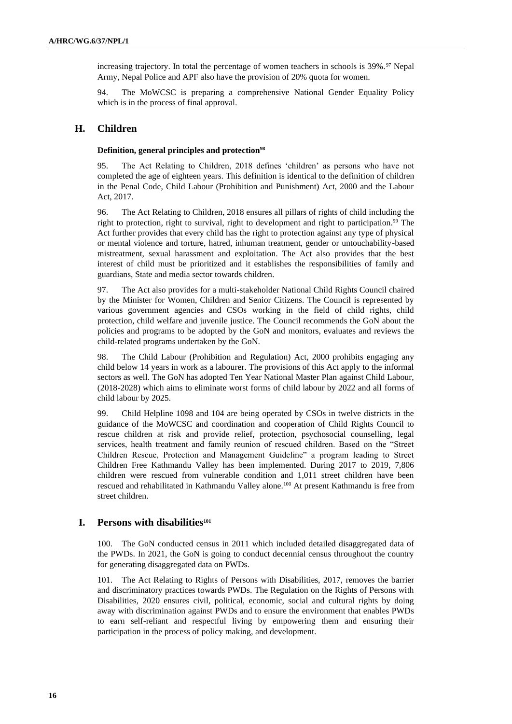increasing trajectory. In total the percentage of women teachers in schools is  $39\%$ .<sup>97</sup> Nepal Army, Nepal Police and APF also have the provision of 20% quota for women.

94. The MoWCSC is preparing a comprehensive National Gender Equality Policy which is in the process of final approval.

# **H. Children**

#### **Definition, general principles and protection<sup>98</sup>**

95. The Act Relating to Children, 2018 defines 'children' as persons who have not completed the age of eighteen years. This definition is identical to the definition of children in the Penal Code, Child Labour (Prohibition and Punishment) Act, 2000 and the Labour Act, 2017.

96. The Act Relating to Children, 2018 ensures all pillars of rights of child including the right to protection, right to survival, right to development and right to participation.<sup>99</sup> The Act further provides that every child has the right to protection against any type of physical or mental violence and torture, hatred, inhuman treatment, gender or untouchability-based mistreatment, sexual harassment and exploitation. The Act also provides that the best interest of child must be prioritized and it establishes the responsibilities of family and guardians, State and media sector towards children.

97. The Act also provides for a multi-stakeholder National Child Rights Council chaired by the Minister for Women, Children and Senior Citizens. The Council is represented by various government agencies and CSOs working in the field of child rights, child protection, child welfare and juvenile justice. The Council recommends the GoN about the policies and programs to be adopted by the GoN and monitors, evaluates and reviews the child-related programs undertaken by the GoN.

98. The Child Labour (Prohibition and Regulation) Act, 2000 prohibits engaging any child below 14 years in work as a labourer. The provisions of this Act apply to the informal sectors as well. The GoN has adopted Ten Year National Master Plan against Child Labour, (2018-2028) which aims to eliminate worst forms of child labour by 2022 and all forms of child labour by 2025.

99. Child Helpline 1098 and 104 are being operated by CSOs in twelve districts in the guidance of the MoWCSC and coordination and cooperation of Child Rights Council to rescue children at risk and provide relief, protection, psychosocial counselling, legal services, health treatment and family reunion of rescued children. Based on the "Street Children Rescue, Protection and Management Guideline" a program leading to Street Children Free Kathmandu Valley has been implemented. During 2017 to 2019, 7,806 children were rescued from vulnerable condition and 1,011 street children have been rescued and rehabilitated in Kathmandu Valley alone.<sup>100</sup> At present Kathmandu is free from street children.

# **I. Persons with disabilities<sup>101</sup>**

100. The GoN conducted census in 2011 which included detailed disaggregated data of the PWDs. In 2021, the GoN is going to conduct decennial census throughout the country for generating disaggregated data on PWDs.

101. The Act Relating to Rights of Persons with Disabilities, 2017, removes the barrier and discriminatory practices towards PWDs. The Regulation on the Rights of Persons with Disabilities, 2020 ensures civil, political, economic, social and cultural rights by doing away with discrimination against PWDs and to ensure the environment that enables PWDs to earn self-reliant and respectful living by empowering them and ensuring their participation in the process of policy making, and development.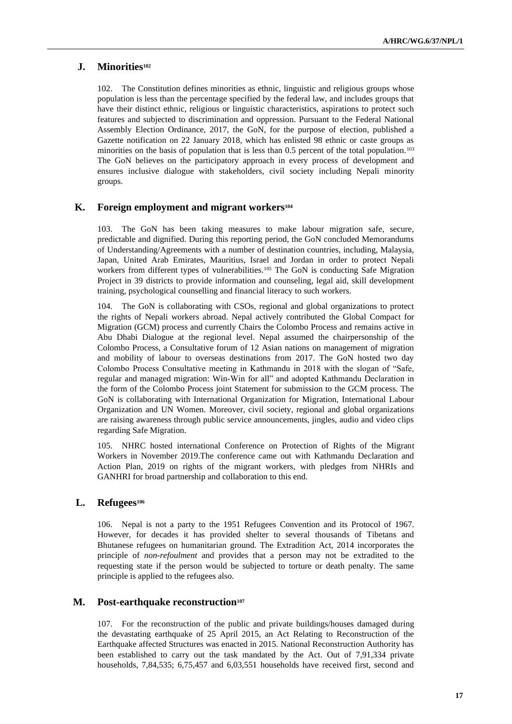### **J. Minorities<sup>102</sup>**

102. The Constitution defines minorities as ethnic, linguistic and religious groups whose population is less than the percentage specified by the federal law, and includes groups that have their distinct ethnic, religious or linguistic characteristics, aspirations to protect such features and subjected to discrimination and oppression. Pursuant to the Federal National Assembly Election Ordinance, 2017, the GoN, for the purpose of election, published a Gazette notification on 22 January 2018, which has enlisted 98 ethnic or caste groups as minorities on the basis of population that is less than  $0.5$  percent of the total population.<sup>103</sup> The GoN believes on the participatory approach in every process of development and ensures inclusive dialogue with stakeholders, civil society including Nepali minority groups.

# **K. Foreign employment and migrant workers<sup>104</sup>**

103. The GoN has been taking measures to make labour migration safe, secure, predictable and dignified. During this reporting period, the GoN concluded Memorandums of Understanding/Agreements with a number of destination countries, including, Malaysia, Japan, United Arab Emirates, Mauritius, Israel and Jordan in order to protect Nepali workers from different types of vulnerabilities.<sup>105</sup> The GoN is conducting Safe Migration Project in 39 districts to provide information and counseling, legal aid, skill development training, psychological counselling and financial literacy to such workers.

104. The GoN is collaborating with CSOs, regional and global organizations to protect the rights of Nepali workers abroad. Nepal actively contributed the Global Compact for Migration (GCM) process and currently Chairs the Colombo Process and remains active in Abu Dhabi Dialogue at the regional level. Nepal assumed the chairpersonship of the Colombo Process, a Consultative forum of 12 Asian nations on management of migration and mobility of labour to overseas destinations from 2017. The GoN hosted two day Colombo Process Consultative meeting in Kathmandu in 2018 with the slogan of "Safe, regular and managed migration: Win-Win for all" and adopted Kathmandu Declaration in the form of the Colombo Process joint Statement for submission to the GCM process. The GoN is collaborating with International Organization for Migration, International Labour Organization and UN Women. Moreover, civil society, regional and global organizations are raising awareness through public service announcements, jingles, audio and video clips regarding Safe Migration.

105. NHRC hosted international Conference on Protection of Rights of the Migrant Workers in November 2019.The conference came out with Kathmandu Declaration and Action Plan, 2019 on rights of the migrant workers, with pledges from NHRIs and GANHRI for broad partnership and collaboration to this end.

### **L. Refugees<sup>106</sup>**

106. Nepal is not a party to the 1951 Refugees Convention and its Protocol of 1967. However, for decades it has provided shelter to several thousands of Tibetans and Bhutanese refugees on humanitarian ground. The Extradition Act, 2014 incorporates the principle of *non-refoulment* and provides that a person may not be extradited to the requesting state if the person would be subjected to torture or death penalty. The same principle is applied to the refugees also.

### **M. Post-earthquake reconstruction<sup>107</sup>**

107. For the reconstruction of the public and private buildings/houses damaged during the devastating earthquake of 25 April 2015, an Act Relating to Reconstruction of the Earthquake affected Structures was enacted in 2015. National Reconstruction Authority has been established to carry out the task mandated by the Act. Out of 7,91,334 private households, 7,84,535; 6,75,457 and 6,03,551 households have received first, second and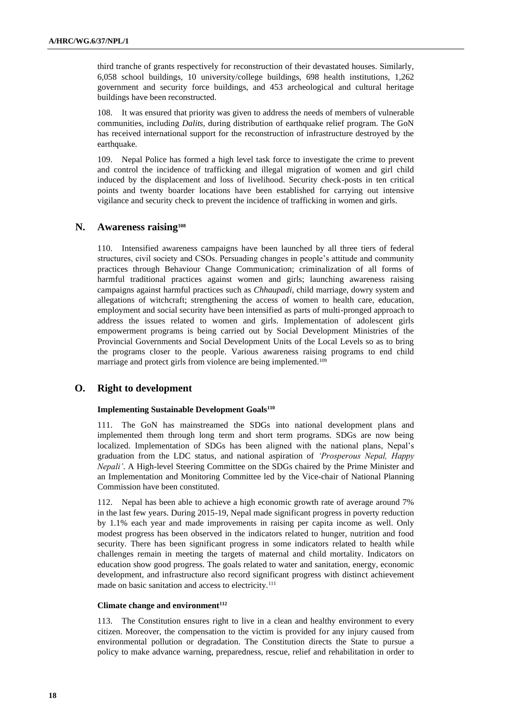third tranche of grants respectively for reconstruction of their devastated houses. Similarly, 6,058 school buildings, 10 university/college buildings, 698 health institutions, 1,262 government and security force buildings, and 453 archeological and cultural heritage buildings have been reconstructed.

It was ensured that priority was given to address the needs of members of vulnerable communities, including *Dalits*, during distribution of earthquake relief program. The GoN has received international support for the reconstruction of infrastructure destroyed by the earthquake.

109. Nepal Police has formed a high level task force to investigate the crime to prevent and control the incidence of trafficking and illegal migration of women and girl child induced by the displacement and loss of livelihood. Security check-posts in ten critical points and twenty boarder locations have been established for carrying out intensive vigilance and security check to prevent the incidence of trafficking in women and girls.

### **N. Awareness raising<sup>108</sup>**

110. Intensified awareness campaigns have been launched by all three tiers of federal structures, civil society and CSOs. Persuading changes in people's attitude and community practices through Behaviour Change Communication; criminalization of all forms of harmful traditional practices against women and girls; launching awareness raising campaigns against harmful practices such as *Chhaupadi*, child marriage, dowry system and allegations of witchcraft; strengthening the access of women to health care, education, employment and social security have been intensified as parts of multi-pronged approach to address the issues related to women and girls. Implementation of adolescent girls empowerment programs is being carried out by Social Development Ministries of the Provincial Governments and Social Development Units of the Local Levels so as to bring the programs closer to the people. Various awareness raising programs to end child marriage and protect girls from violence are being implemented.<sup>109</sup>

### **O. Right to development**

#### **Implementing Sustainable Development Goals<sup>110</sup>**

111. The GoN has mainstreamed the SDGs into national development plans and implemented them through long term and short term programs. SDGs are now being localized. Implementation of SDGs has been aligned with the national plans, Nepal's graduation from the LDC status, and national aspiration of *'Prosperous Nepal, Happy Nepali'*. A High-level Steering Committee on the SDGs chaired by the Prime Minister and an Implementation and Monitoring Committee led by the Vice-chair of National Planning Commission have been constituted.

112. Nepal has been able to achieve a high economic growth rate of average around 7% in the last few years. During 2015-19, Nepal made significant progress in poverty reduction by 1.1% each year and made improvements in raising per capita income as well. Only modest progress has been observed in the indicators related to hunger, nutrition and food security. There has been significant progress in some indicators related to health while challenges remain in meeting the targets of maternal and child mortality. Indicators on education show good progress. The goals related to water and sanitation, energy, economic development, and infrastructure also record significant progress with distinct achievement made on basic sanitation and access to electricity.<sup>111</sup>

#### **Climate change and environment<sup>112</sup>**

113. The Constitution ensures right to live in a clean and healthy environment to every citizen. Moreover, the compensation to the victim is provided for any injury caused from environmental pollution or degradation. The Constitution directs the State to pursue a policy to make advance warning, preparedness, rescue, relief and rehabilitation in order to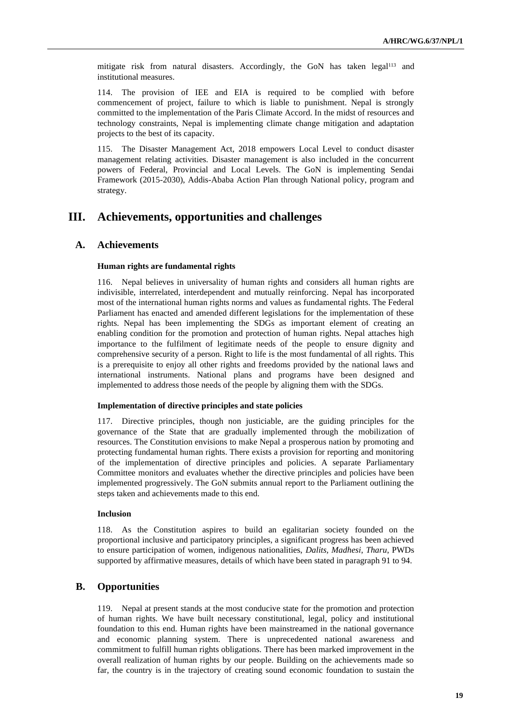mitigate risk from natural disasters. Accordingly, the GoN has taken legal<sup>113</sup> and institutional measures.

114. The provision of IEE and EIA is required to be complied with before commencement of project, failure to which is liable to punishment. Nepal is strongly committed to the implementation of the Paris Climate Accord. In the midst of resources and technology constraints, Nepal is implementing climate change mitigation and adaptation projects to the best of its capacity.

115. The Disaster Management Act, 2018 empowers Local Level to conduct disaster management relating activities. Disaster management is also included in the concurrent powers of Federal, Provincial and Local Levels. The GoN is implementing Sendai Framework (2015-2030), Addis-Ababa Action Plan through National policy, program and strategy.

# **III. Achievements, opportunities and challenges**

### **A. Achievements**

#### **Human rights are fundamental rights**

Nepal believes in universality of human rights and considers all human rights are indivisible, interrelated, interdependent and mutually reinforcing. Nepal has incorporated most of the international human rights norms and values as fundamental rights. The Federal Parliament has enacted and amended different legislations for the implementation of these rights. Nepal has been implementing the SDGs as important element of creating an enabling condition for the promotion and protection of human rights. Nepal attaches high importance to the fulfilment of legitimate needs of the people to ensure dignity and comprehensive security of a person. Right to life is the most fundamental of all rights. This is a prerequisite to enjoy all other rights and freedoms provided by the national laws and international instruments. National plans and programs have been designed and implemented to address those needs of the people by aligning them with the SDGs.

#### **Implementation of directive principles and state policies**

117. Directive principles, though non justiciable, are the guiding principles for the governance of the State that are gradually implemented through the mobilization of resources. The Constitution envisions to make Nepal a prosperous nation by promoting and protecting fundamental human rights. There exists a provision for reporting and monitoring of the implementation of directive principles and policies. A separate Parliamentary Committee monitors and evaluates whether the directive principles and policies have been implemented progressively. The GoN submits annual report to the Parliament outlining the steps taken and achievements made to this end.

### **Inclusion**

118. As the Constitution aspires to build an egalitarian society founded on the proportional inclusive and participatory principles, a significant progress has been achieved to ensure participation of women, indigenous nationalities, *Dalits, Madhesi*, *Tharu*, PWDs supported by affirmative measures, details of which have been stated in paragraph 91 to 94.

### **B. Opportunities**

119. Nepal at present stands at the most conducive state for the promotion and protection of human rights. We have built necessary constitutional, legal, policy and institutional foundation to this end. Human rights have been mainstreamed in the national governance and economic planning system. There is unprecedented national awareness and commitment to fulfill human rights obligations. There has been marked improvement in the overall realization of human rights by our people. Building on the achievements made so far, the country is in the trajectory of creating sound economic foundation to sustain the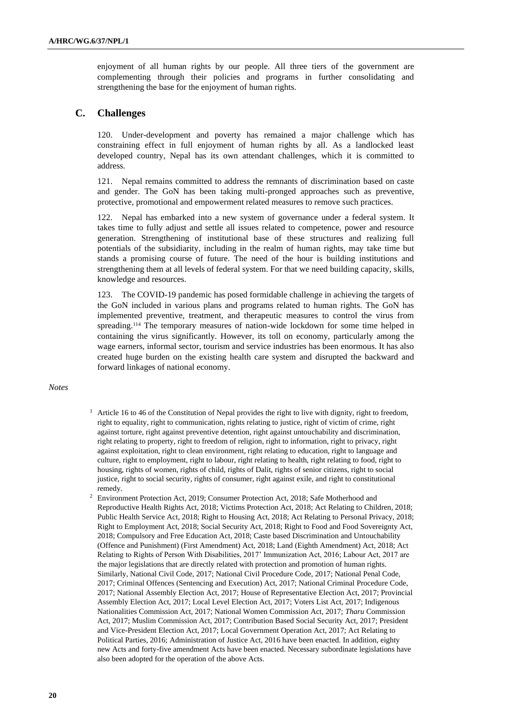enjoyment of all human rights by our people. All three tiers of the government are complementing through their policies and programs in further consolidating and strengthening the base for the enjoyment of human rights.

# **C. Challenges**

120. Under-development and poverty has remained a major challenge which has constraining effect in full enjoyment of human rights by all. As a landlocked least developed country, Nepal has its own attendant challenges, which it is committed to address.

121. Nepal remains committed to address the remnants of discrimination based on caste and gender. The GoN has been taking multi-pronged approaches such as preventive, protective, promotional and empowerment related measures to remove such practices.

122. Nepal has embarked into a new system of governance under a federal system. It takes time to fully adjust and settle all issues related to competence, power and resource generation. Strengthening of institutional base of these structures and realizing full potentials of the subsidiarity, including in the realm of human rights, may take time but stands a promising course of future. The need of the hour is building institutions and strengthening them at all levels of federal system. For that we need building capacity, skills, knowledge and resources.

123. The COVID-19 pandemic has posed formidable challenge in achieving the targets of the GoN included in various plans and programs related to human rights. The GoN has implemented preventive, treatment, and therapeutic measures to control the virus from spreading.<sup>114</sup> The temporary measures of nation-wide lockdown for some time helped in containing the virus significantly. However, its toll on economy, particularly among the wage earners, informal sector, tourism and service industries has been enormous. It has also created huge burden on the existing health care system and disrupted the backward and forward linkages of national economy.

#### *Notes*

- <sup>1</sup> Article 16 to 46 of the Constitution of Nepal provides the right to live with dignity, right to freedom, right to equality, right to communication, rights relating to justice, right of victim of crime, right against torture, right against preventive detention, right against untouchability and discrimination, right relating to property, right to freedom of religion, right to information, right to privacy, right against exploitation, right to clean environment, right relating to education, right to language and culture, right to employment, right to labour, right relating to health, right relating to food, right to housing, rights of women, rights of child, rights of Dalit, rights of senior citizens, right to social justice, right to social security, rights of consumer, right against exile, and right to constitutional remedy.
- <sup>2</sup> Environment Protection Act, 2019; Consumer Protection Act, 2018; Safe Motherhood and Reproductive Health Rights Act, 2018; Victims Protection Act, 2018; Act Relating to Children, 2018; Public Health Service Act, 2018; Right to Housing Act, 2018; Act Relating to Personal Privacy, 2018; Right to Employment Act, 2018; Social Security Act, 2018; Right to Food and Food Sovereignty Act, 2018; Compulsory and Free Education Act, 2018; Caste based Discrimination and Untouchability (Offence and Punishment) (First Amendment) Act, 2018; Land (Eighth Amendment) Act, 2018; Act Relating to Rights of Person With Disabilities, 2017' Immunization Act, 2016; Labour Act, 2017 are the major legislations that are directly related with protection and promotion of human rights. Similarly, National Civil Code, 2017; National Civil Procedure Code, 2017; National Penal Code, 2017; Criminal Offences (Sentencing and Execution) Act, 2017; National Criminal Procedure Code, 2017; National Assembly Election Act, 2017; House of Representative Election Act, 2017; Provincial Assembly Election Act, 2017; Local Level Election Act, 2017; Voters List Act, 2017; Indigenous Nationalities Commission Act, 2017; National Women Commission Act, 2017; *Tharu* Commission Act, 2017; Muslim Commission Act, 2017; Contribution Based Social Security Act, 2017; President and Vice-President Election Act, 2017; Local Government Operation Act, 2017; Act Relating to Political Parties, 2016; Administration of Justice Act, 2016 have been enacted. In addition, eighty new Acts and forty-five amendment Acts have been enacted. Necessary subordinate legislations have also been adopted for the operation of the above Acts.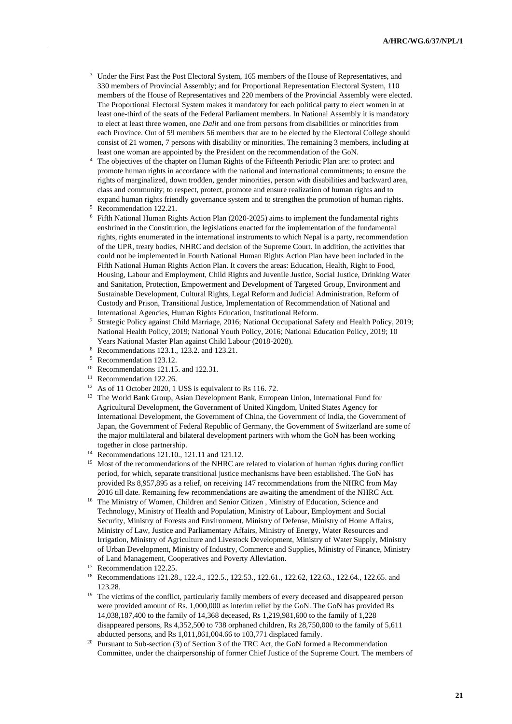- <sup>3</sup> Under the First Past the Post Electoral System, 165 members of the House of Representatives, and 330 members of Provincial Assembly; and for Proportional Representation Electoral System, 110 members of the House of Representatives and 220 members of the Provincial Assembly were elected. The Proportional Electoral System makes it mandatory for each political party to elect women in at least one-third of the seats of the Federal Parliament members. In National Assembly it is mandatory to elect at least three women, one *Dalit* and one from persons from disabilities or minorities from each Province. Out of 59 members 56 members that are to be elected by the Electoral College should consist of 21 women, 7 persons with disability or minorities. The remaining 3 members, including at least one woman are appointed by the President on the recommendation of the GoN.
- <sup>4</sup> The objectives of the chapter on Human Rights of the Fifteenth Periodic Plan are: to protect and promote human rights in accordance with the national and international commitments; to ensure the rights of marginalized, down trodden, gender minorities, person with disabilities and backward area, class and community; to respect, protect, promote and ensure realization of human rights and to expand human rights friendly governance system and to strengthen the promotion of human rights.

- $6$  Fifth National Human Rights Action Plan (2020-2025) aims to implement the fundamental rights enshrined in the Constitution, the legislations enacted for the implementation of the fundamental rights, rights enumerated in the international instruments to which Nepal is a party, recommendation of the UPR, treaty bodies, NHRC and decision of the Supreme Court. In addition, the activities that could not be implemented in Fourth National Human Rights Action Plan have been included in the Fifth National Human Rights Action Plan. It covers the areas: Education, Health, Right to Food, Housing, Labour and Employment, Child Rights and Juvenile Justice, Social Justice, Drinking Water and Sanitation, Protection, Empowerment and Development of Targeted Group, Environment and Sustainable Development, Cultural Rights, Legal Reform and Judicial Administration, Reform of Custody and Prison, Transitional Justice, Implementation of Recommendation of National and International Agencies, Human Rights Education, Institutional Reform.
- <sup>7</sup> Strategic Policy against Child Marriage, 2016; National Occupational Safety and Health Policy, 2019; National Health Policy, 2019; National Youth Policy, 2016; National Education Policy, 2019; 10 Years National Master Plan against Child Labour (2018-2028).
- <sup>8</sup> Recommendations 123.1., 123.2. and 123.21.
- <sup>9</sup> Recommendation 123.12*.*
- <sup>10</sup> Recommendations 121.15. and 122.31.
- <sup>11</sup> Recommendation 122.26.
- <sup>12</sup> As of 11 October 2020, 1 US\$ is equivalent to Rs 116. 72.
- <sup>13</sup> The World Bank Group, Asian Development Bank, European Union, International Fund for Agricultural Development, the Government of United Kingdom, United States Agency for International Development, the Government of China, the Government of India, the Government of Japan, the Government of Federal Republic of Germany, the Government of Switzerland are some of the major multilateral and bilateral development partners with whom the GoN has been working together in close partnership.
- <sup>14</sup> Recommendations 121.10., 121.11 and 121.12.
- <sup>15</sup> Most of the recommendations of the NHRC are related to violation of human rights during conflict period, for which, separate transitional justice mechanisms have been established. The GoN has provided Rs 8,957,895 as a relief, on receiving 147 recommendations from the NHRC from May 2016 till date. Remaining few recommendations are awaiting the amendment of the NHRC Act.
- <sup>16</sup> The Ministry of Women, Children and Senior Citizen, Ministry of Education, Science and Technology, Ministry of Health and Population, Ministry of Labour, Employment and Social Security, Ministry of Forests and Environment, Ministry of Defense, Ministry of Home Affairs, Ministry of Law, Justice and Parliamentary Affairs, Ministry of Energy, Water Resources and Irrigation, Ministry of Agriculture and Livestock Development, Ministry of Water Supply, Ministry of Urban Development, Ministry of Industry, Commerce and Supplies, Ministry of Finance, Ministry of Land Management, Cooperatives and Poverty Alleviation.

<sup>20</sup> Pursuant to Sub-section (3) of Section 3 of the TRC Act, the GoN formed a Recommendation Committee, under the chairpersonship of former Chief Justice of the Supreme Court. The members of

<sup>5</sup> Recommendation 122.21.

<sup>&</sup>lt;sup>17</sup> Recommendation 122.25.

<sup>18</sup> Recommendations 121.28., 122.4., 122.5., 122.53., 122.61., 122.62, 122.63., 122.64., 122.65. and 123.28.

<sup>&</sup>lt;sup>19</sup> The victims of the conflict, particularly family members of every deceased and disappeared person were provided amount of Rs. 1,000,000 as interim relief by the GoN. The GoN has provided Rs 14,038,187,400 to the family of 14,368 deceased, Rs 1,219,981,600 to the family of 1,228 disappeared persons, Rs 4,352,500 to 738 orphaned children, Rs 28,750,000 to the family of 5,611 abducted persons, and Rs 1,011,861,004.66 to 103,771 displaced family.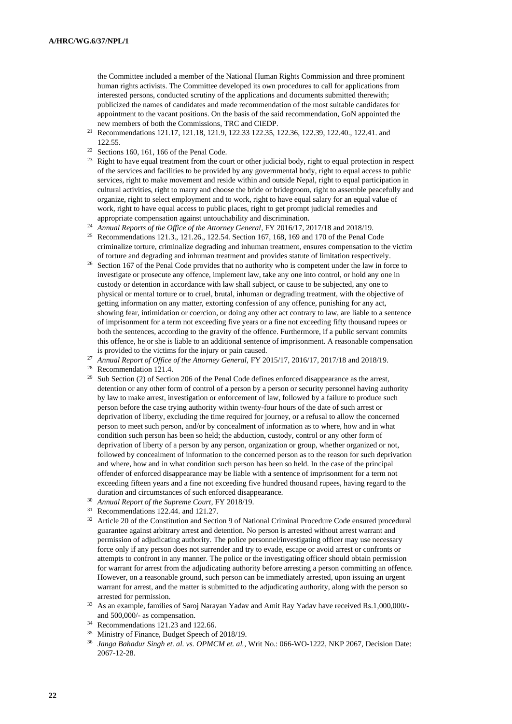the Committee included a member of the National Human Rights Commission and three prominent human rights activists. The Committee developed its own procedures to call for applications from interested persons, conducted scrutiny of the applications and documents submitted therewith; publicized the names of candidates and made recommendation of the most suitable candidates for appointment to the vacant positions. On the basis of the said recommendation, GoN appointed the new members of both the Commissions, TRC and CIEDP.

- <sup>21</sup> Recommendations 121.17, 121.18, 121.9, 122.33 122.35, 122.36, 122.39, 122.40., 122.41. and 122.55.
- $22$  Sections 160, 161, 166 of the Penal Code.
- <sup>23</sup> Right to have equal treatment from the court or other judicial body, right to equal protection in respect of the services and facilities to be provided by any governmental body, right to equal access to public services, right to make movement and reside within and outside Nepal, right to equal participation in cultural activities, right to marry and choose the bride or bridegroom, right to assemble peacefully and organize, right to select employment and to work, right to have equal salary for an equal value of work, right to have equal access to public places, right to get prompt judicial remedies and appropriate compensation against untouchability and discrimination.
- <sup>24</sup> *Annual Reports of the Office of the Attorney General*, FY 2016/17, 2017/18 and 2018/19.
- <sup>25</sup> Recommendations 121.3., 121.26., 122.54. Section 167, 168, 169 and 170 of the Penal Code criminalize torture, criminalize degrading and inhuman treatment, ensures compensation to the victim of torture and degrading and inhuman treatment and provides statute of limitation respectively.
- <sup>26</sup> Section 167 of the Penal Code provides that no authority who is competent under the law in force to investigate or prosecute any offence, implement law, take any one into control, or hold any one in custody or detention in accordance with law shall subject, or cause to be subjected, any one to physical or mental torture or to cruel, brutal, inhuman or degrading treatment, with the objective of getting information on any matter, extorting confession of any offence, punishing for any act, showing fear, intimidation or coercion, or doing any other act contrary to law, are liable to a sentence of imprisonment for a term not exceeding five years or a fine not exceeding fifty thousand rupees or both the sentences, according to the gravity of the offence. Furthermore, if a public servant commits this offence, he or she is liable to an additional sentence of imprisonment. A reasonable compensation is provided to the victims for the injury or pain caused.
- <sup>27</sup> *Annual Report of Office of the Attorney General,* FY 2015/17, 2016/17, 2017/18 and 2018/19.

<sup>28</sup> Recommendation 121.4.

- <sup>29</sup> Sub Section (2) of Section 206 of the Penal Code defines enforced disappearance as the arrest, detention or any other form of control of a person by a person or security personnel having authority by law to make arrest, investigation or enforcement of law, followed by a failure to produce such person before the case trying authority within twenty-four hours of the date of such arrest or deprivation of liberty, excluding the time required for journey, or a refusal to allow the concerned person to meet such person, and/or by concealment of information as to where, how and in what condition such person has been so held; the abduction, custody, control or any other form of deprivation of liberty of a person by any person, organization or group, whether organized or not, followed by concealment of information to the concerned person as to the reason for such deprivation and where, how and in what condition such person has been so held. In the case of the principal offender of enforced disappearance may be liable with a sentence of imprisonment for a term not exceeding fifteen years and a fine not exceeding five hundred thousand rupees, having regard to the duration and circumstances of such enforced disappearance.
- <sup>30</sup> *Annual Report of the Supreme Court*, FY 2018/19.
- <sup>31</sup> Recommendations 122.44. and 121.27.
- <sup>32</sup> Article 20 of the Constitution and Section 9 of National Criminal Procedure Code ensured procedural guarantee against arbitrary arrest and detention. No person is arrested without arrest warrant and permission of adjudicating authority. The police personnel/investigating officer may use necessary force only if any person does not surrender and try to evade, escape or avoid arrest or confronts or attempts to confront in any manner. The police or the investigating officer should obtain permission for warrant for arrest from the adjudicating authority before arresting a person committing an offence. However, on a reasonable ground, such person can be immediately arrested, upon issuing an urgent warrant for arrest, and the matter is submitted to the adjudicating authority, along with the person so arrested for permission.
- <sup>33</sup> As an example, families of Saroj Narayan Yadav and Amit Ray Yadav have received Rs.1,000,000/and 500,000/- as compensation.
- <sup>34</sup> Recommendations 121.23 and 122.66.
- <sup>35</sup> Ministry of Finance, Budget Speech of 2018/19.
- <sup>36</sup> *Janga Bahadur Singh et. al. vs. OPMCM et. al.*, Writ No.: 066-WO-1222, NKP 2067, Decision Date: 2067-12-28.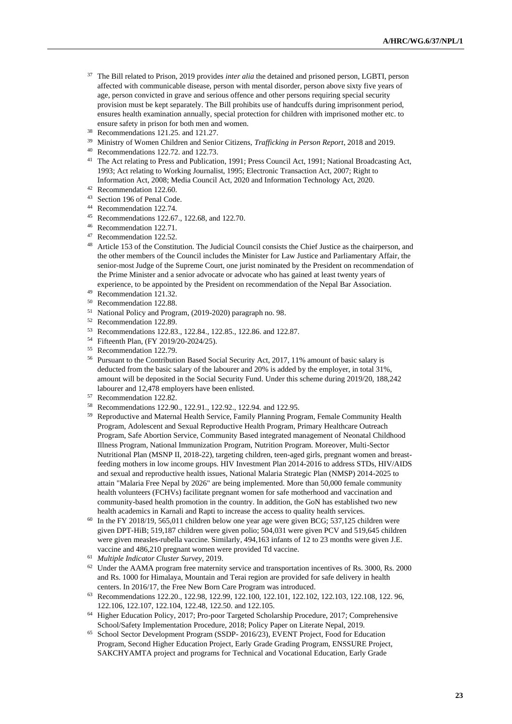- <sup>37</sup> The Bill related to Prison, 2019 provides *inter alia* the detained and prisoned person, LGBTI, person affected with communicable disease, person with mental disorder, person above sixty five years of age, person convicted in grave and serious offence and other persons requiring special security provision must be kept separately. The Bill prohibits use of handcuffs during imprisonment period, ensures health examination annually, special protection for children with imprisoned mother etc. to ensure safety in prison for both men and women.
- <sup>38</sup> Recommendations 121.25. and 121.27.
- <sup>39</sup> Ministry of Women Children and Senior Citizens, *Trafficking in Person Report*, 2018 and 2019.
- <sup>40</sup> Recommendations 122.72. and 122.73.
- <sup>41</sup> The Act relating to Press and Publication, 1991; Press Council Act, 1991; National Broadcasting Act, 1993; Act relating to Working Journalist, 1995; Electronic Transaction Act, 2007; Right to Information Act, 2008; Media Council Act, 2020 and Information Technology Act, 2020.
- $^{42}$  Recommendation 122.60.<br> $^{43}$  Section 196 of Penal Code
- <sup>43</sup> Section 196 of Penal Code.<br><sup>44</sup> Recommendation 122.74
- Recommendation 122.74.
- <sup>45</sup> Recommendations 122.67., 122.68, and 122.70.
- $^{46}$  Recommendation 122.71.<br> $^{47}$  Recommendation 122.52
- Recommendation 122.52.
- <sup>48</sup> Article 153 of the Constitution. The Judicial Council consists the Chief Justice as the chairperson, and the other members of the Council includes the Minister for Law Justice and Parliamentary Affair, the senior-most Judge of the Supreme Court, one jurist nominated by the President on recommendation of the Prime Minister and a senior advocate or advocate who has gained at least twenty years of experience, to be appointed by the President on recommendation of the Nepal Bar Association.
- <sup>49</sup> Recommendation 121.32.
- <sup>50</sup> Recommendation 122.88.
- <sup>51</sup> National Policy and Program, (2019-2020) paragraph no. 98.
- <sup>52</sup> Recommendation 122.89.
- <sup>53</sup> Recommendations 122.83., 122.84., 122.85., 122.86. and 122.87.
- <sup>54</sup> Fifteenth Plan, (FY 2019/20-2024/25).
- <sup>55</sup> Recommendation 122.79.
- <sup>56</sup> Pursuant to the Contribution Based Social Security Act, 2017, 11% amount of basic salary is deducted from the basic salary of the labourer and 20% is added by the employer, in total 31%, amount will be deposited in the Social Security Fund. Under this scheme during 2019/20, 188,242 labourer and 12,478 employers have been enlisted.
- <sup>57</sup> Recommendation 122.82.
- <sup>58</sup> Recommendations 122.90., 122.91., 122.92., 122.94. and 122.95.
- <sup>59</sup> Reproductive and Maternal Health Service, Family Planning Program, Female Community Health Program, Adolescent and Sexual Reproductive Health Program, Primary Healthcare Outreach Program, Safe Abortion Service, Community Based integrated management of Neonatal Childhood Illness Program, National Immunization Program, Nutrition Program. Moreover, Multi-Sector Nutritional Plan (MSNP II, 2018-22), targeting children, teen-aged girls, pregnant women and breastfeeding mothers in low income groups. HIV Investment Plan 2014-2016 to address STDs, HIV/AIDS and sexual and reproductive health issues, National Malaria Strategic Plan (NMSP) 2014-2025 to attain "Malaria Free Nepal by 2026" are being implemented. More than 50,000 female community health volunteers (FCHVs) facilitate pregnant women for safe motherhood and vaccination and community-based health promotion in the country. In addition, the GoN has established two new health academics in Karnali and Rapti to increase the access to quality health services.
- $60$  In the FY 2018/19, 565,011 children below one year age were given BCG; 537,125 children were given DPT-HiB; 519,187 children were given polio; 504,031 were given PCV and 519,645 children were given measles-rubella vaccine. Similarly, 494,163 infants of 12 to 23 months were given J.E. vaccine and 486,210 pregnant women were provided Td vaccine.
- <sup>61</sup> *Multiple Indicator Cluster Survey*, 2019.
- <sup>62</sup> Under the AAMA program free maternity service and transportation incentives of Rs. 3000, Rs. 2000 and Rs. 1000 for Himalaya, Mountain and Terai region are provided for safe delivery in health centers. In 2016/17, the Free New Born Care Program was introduced.
- <sup>63</sup> Recommendations 122.20., 122.98, 122.99, 122.100, 122.101, 122.102, 122.103, 122.108, 122. 96, 122.106, 122.107, 122.104, 122.48, 122.50. and 122.105.
- <sup>64</sup> Higher Education Policy, 2017; Pro-poor Targeted Scholarship Procedure, 2017; Comprehensive School/Safety Implementation Procedure, 2018; Policy Paper on Literate Nepal, 2019.
- <sup>65</sup> School Sector Development Program (SSDP- 2016/23), EVENT Project, Food for Education Program, Second Higher Education Project, Early Grade Grading Program, ENSSURE Project, SAKCHYAMTA project and programs for Technical and Vocational Education, Early Grade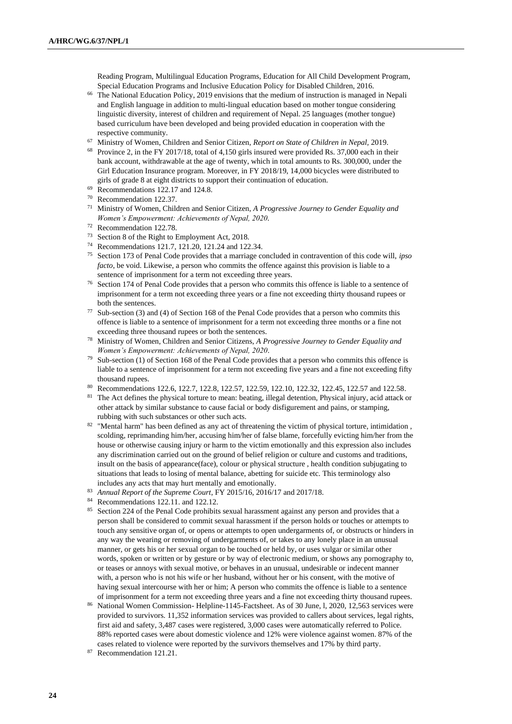Reading Program, Multilingual Education Programs, Education for All Child Development Program, Special Education Programs and Inclusive Education Policy for Disabled Children, 2016.

- <sup>66</sup> The National Education Policy, 2019 envisions that the medium of instruction is managed in Nepali and English language in addition to multi-lingual education based on mother tongue considering linguistic diversity, interest of children and requirement of Nepal. 25 languages (mother tongue) based curriculum have been developed and being provided education in cooperation with the respective community.
- <sup>67</sup> Ministry of Women, Children and Senior Citizen, *Report on State of Children in Nepal,* 2019.
- <sup>68</sup> Province 2, in the FY 2017/18, total of 4,150 girls insured were provided Rs. 37,000 each in their bank account, withdrawable at the age of twenty, which in total amounts to Rs. 300,000, under the Girl Education Insurance program. Moreover, in FY 2018/19, 14,000 bicycles were distributed to girls of grade 8 at eight districts to support their continuation of education.
- $69$  Recommendations 122.17 and 124.8.
- $^{70}$  Recommendation 122.37.<br> $^{71}$  Ministry of Women Chile
- <sup>71</sup> Ministry of Women, Children and Senior Citizen, *A Progressive Journey to Gender Equality and Women's Empowerment: Achievements of Nepal, 2020.*
- <sup>72</sup> Recommendation 122.78.
- <sup>73</sup> Section 8 of the Right to Employment Act, 2018.
- <sup>74</sup> Recommendations 121.7, 121.20, 121.24 and 122.34.
- <sup>75</sup> Section 173 of Penal Code provides that a marriage concluded in contravention of this code will, *ipso facto*, be void. Likewise, a person who commits the offence against this provision is liable to a sentence of imprisonment for a term not exceeding three years.
- <sup>76</sup> Section 174 of Penal Code provides that a person who commits this offence is liable to a sentence of imprisonment for a term not exceeding three years or a fine not exceeding thirty thousand rupees or both the sentences.
- <sup>77</sup> Sub-section (3) and (4) of Section 168 of the Penal Code provides that a person who commits this offence is liable to a sentence of imprisonment for a term not exceeding three months or a fine not exceeding three thousand rupees or both the sentences.
- <sup>78</sup> Ministry of Women, Children and Senior Citizens, *A Progressive Journey to Gender Equality and Women's Empowerment: Achievements of Nepal, 2020*.
- $79$  Sub-section (1) of Section 168 of the Penal Code provides that a person who commits this offence is liable to a sentence of imprisonment for a term not exceeding five years and a fine not exceeding fifty thousand rupees.
- 80 Recommendations 122.6, 122.7, 122.8, 122.57, 122.59, 122.10, 122.32, 122.45, 122.57 and 122.58.
- <sup>81</sup> The Act defines the physical torture to mean: beating, illegal detention, Physical injury, acid attack or other attack by similar substance to cause facial or body disfigurement and pains, or stamping, rubbing with such substances or other such acts.
- 82 "Mental harm" has been defined as any act of threatening the victim of physical torture, intimidation, scolding, reprimanding him/her, accusing him/her of false blame, forcefully evicting him/her from the house or otherwise causing injury or harm to the victim emotionally and this expression also includes any discrimination carried out on the ground of belief religion or culture and customs and traditions, insult on the basis of appearance(face), colour or physical structure , health condition subjugating to situations that leads to losing of mental balance, abetting for suicide etc. This terminology also includes any acts that may hurt mentally and emotionally.
- <sup>83</sup> *Annual Report of the Supreme Court*, FY 2015/16, 2016/17 and 2017/18.
- <sup>84</sup> Recommendations 122.11. and 122.12*.*
- <sup>85</sup> Section 224 of the Penal Code prohibits sexual harassment against any person and provides that a person shall be considered to commit sexual harassment if the person holds or touches or attempts to touch any sensitive organ of, or opens or attempts to open undergarments of, or obstructs or hinders in any way the wearing or removing of undergarments of, or takes to any lonely place in an unusual manner, or gets his or her sexual organ to be touched or held by, or uses vulgar or similar other words, spoken or written or by gesture or by way of electronic medium, or shows any pornography to, or teases or annoys with sexual motive, or behaves in an unusual, undesirable or indecent manner with, a person who is not his wife or her husband, without her or his consent, with the motive of having sexual intercourse with her or him; A person who commits the offence is liable to a sentence of imprisonment for a term not exceeding three years and a fine not exceeding thirty thousand rupees.
- <sup>86</sup> National Women Commission- Helpline-1145-Factsheet. As of 30 June, l, 2020, 12,563 services were provided to survivors. 11,352 information services was provided to callers about services, legal rights, first aid and safety, 3,487 cases were registered, 3,000 cases were automatically referred to Police. 88% reported cases were about domestic violence and 12% were violence against women. 87% of the cases related to violence were reported by the survivors themselves and 17% by third party.
- <sup>87</sup> Recommendation 121.21.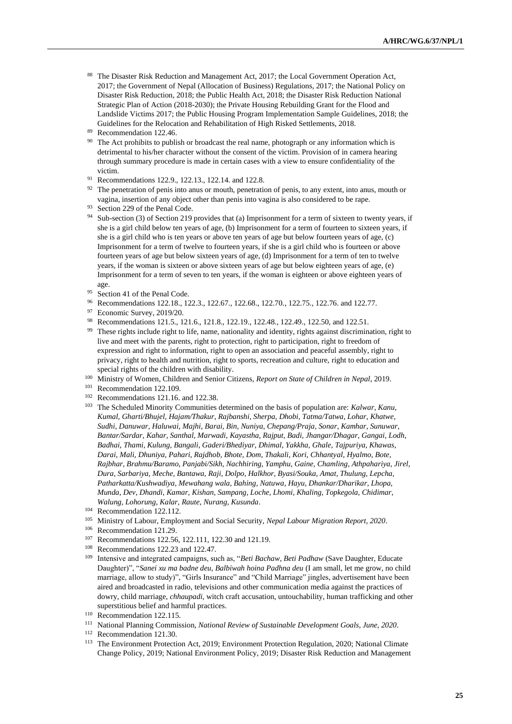88 The Disaster Risk Reduction and Management Act, 2017; the Local Government Operation Act, 2017; the Government of Nepal (Allocation of Business) Regulations, 2017; the National Policy on Disaster Risk Reduction, 2018; the Public Health Act, 2018; the Disaster Risk Reduction National Strategic Plan of Action (2018-2030); the Private Housing Rebuilding Grant for the Flood and Landslide Victims 2017; the Public Housing Program Implementation Sample Guidelines, 2018; the Guidelines for the Relocation and Rehabilitation of High Risked Settlements, 2018.

- <sup>90</sup> The Act prohibits to publish or broadcast the real name, photograph or any information which is detrimental to his/her character without the consent of the victim. Provision of in camera hearing through summary procedure is made in certain cases with a view to ensure confidentiality of the victim.
- <sup>91</sup> Recommendations 122.9., 122.13., 122.14. and 122.8.
- The penetration of penis into anus or mouth, penetration of penis, to any extent, into anus, mouth or vagina, insertion of any object other than penis into vagina is also considered to be rape.

- 94 Sub-section (3) of Section 219 provides that (a) Imprisonment for a term of sixteen to twenty years, if she is a girl child below ten years of age, (b) Imprisonment for a term of fourteen to sixteen years, if she is a girl child who is ten years or above ten years of age but below fourteen years of age, (c) Imprisonment for a term of twelve to fourteen years, if she is a girl child who is fourteen or above fourteen years of age but below sixteen years of age, (d) Imprisonment for a term of ten to twelve years, if the woman is sixteen or above sixteen years of age but below eighteen years of age, (e) Imprisonment for a term of seven to ten years, if the woman is eighteen or above eighteen years of age.
- <sup>95</sup> Section 41 of the Penal Code.
- 96 Recommendations 122.18., 122.3., 122.67., 122.68., 122.70., 122.75., 122.76. and 122.77.
- <sup>97</sup> Economic Survey, 2019/20.
- 98 Recommendations 121.5., 121.6., 121.8., 122.19., 122.48., 122.49., 122.50, and 122.51. <sup>99</sup> These rights include right to life, name, nationality and identity, rights against discrimination, right to live and meet with the parents, right to protection, right to participation, right to freedom of expression and right to information, right to open an association and peaceful assembly, right to privacy, right to health and nutrition, right to sports, recreation and culture, right to education and

special rights of the children with disability.

- <sup>100</sup> Ministry of Women, Children and Senior Citizens, *Report on State of Children in Nepal*, 2019.
- <sup>101</sup> Recommendation 122.109.
- <sup>102</sup> Recommendations 121.16. and 122.38.
- <sup>103</sup> The Scheduled Minority Communities determined on the basis of population are: *Kalwar, Kanu, Kumal, Gharti/Bhujel, Hajam/Thakur, Rajbanshi, Sherpa, Dhobi, Tatma/Tatwa, Lohar, Khatwe, Sudhi, Danuwar, Haluwai, Majhi, Barai, Bin, Nuniya, Chepang/Praja, Sonar, Kamhar, Sunuwar, Bantar/Sardar, Kahar, Santhal, Marwadi, Kayastha, Rajput, Badi, Jhangar/Dhagar, Gangai, Lodh, Badhai, Thami, Kulung, Bangali, Gaderi/Bhediyar, Dhimal, Yakkha, Ghale, Tajpuriya, Khawas, Darai, Mali, Dhuniya, Pahari, Rajdhob, Bhote, Dom, Thakali, Kori, Chhantyal, Hyalmo, Bote, Rajbhar, Brahmu/Baramo, Panjabi/Sikh, Nachhiring, Yamphu, Gaine, Chamling, Athpahariya, Jirel, Dura, Sarbariya, Meche, Bantawa, Raji, Dolpo, Halkhor, Byasi/Souka, Amat, Thulung, Lepcha, Patharkatta/Kushwadiya, Mewahang wala, Bahing, Natuwa, Hayu, Dhankar/Dharikar, Lhopa, Munda, Dev, Dhandi, Kamar, Kishan, Sampang, Loche, Lhomi, Khaling, Topkegola, Chidimar, Walung, Lohorung, Kalar, Raute, Nurang, Kusunda.*
- <sup>104</sup> Recommendation 122.112.
- <sup>105</sup> Ministry of Labour, Employment and Social Security, *Nepal Labour Migration Report, 2020*.
- <sup>106</sup> Recommendation 121.29.
- <sup>107</sup> Recommendations 122.56, 122.111, 122.30 and 121.19.
- <sup>108</sup> Recommendations 122.23 and 122.47.
- <sup>109</sup> Intensive and integrated campaigns, such as, "*Beti Bachaw, Beti Padhaw* (Save Daughter, Educate Daughter)", "*Sanei xu ma badne deu, Balbiwah hoina Padhna deu* (I am small, let me grow, no child marriage, allow to study)", "Girls Insurance" and "Child Marriage" jingles, advertisement have been aired and broadcasted in radio, televisions and other communication media against the practices of dowry, child marriage, *chhaupadi*, witch craft accusation, untouchability, human trafficking and other superstitious belief and harmful practices.
- <sup>110</sup> Recommendation 122.115.
- <sup>111</sup> National Planning Commission, *National Review of Sustainable Development Goals, June, 2020.*
- <sup>112</sup> Recommendation 121.30.
- <sup>113</sup> The Environment Protection Act, 2019; Environment Protection Regulation, 2020; National Climate Change Policy, 2019; National Environment Policy, 2019; Disaster Risk Reduction and Management

<sup>89</sup> Recommendation 122.46.

<sup>93</sup> Section 229 of the Penal Code.